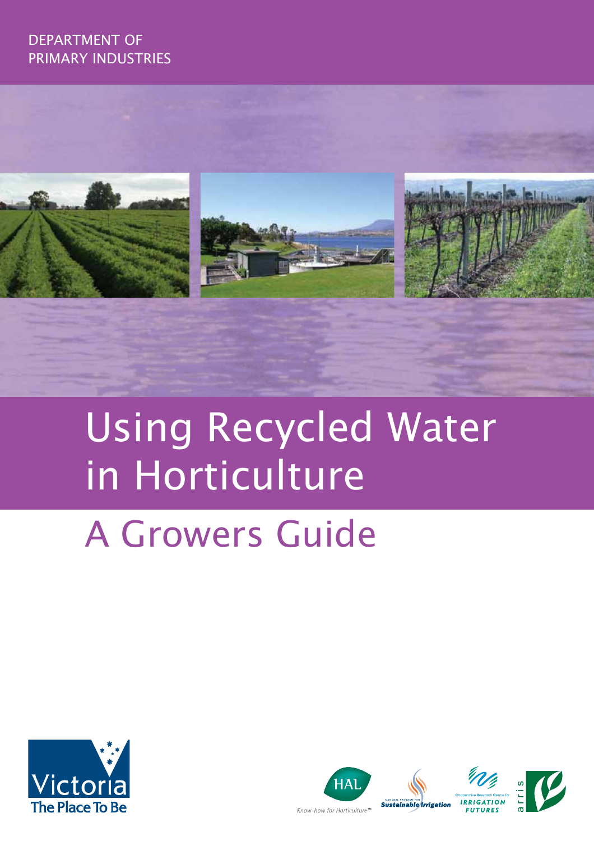## DEPARTMENT OF PRIMARY INDUSTRIES



# Using Recycled Water in Horticulture

# A Growers Guide



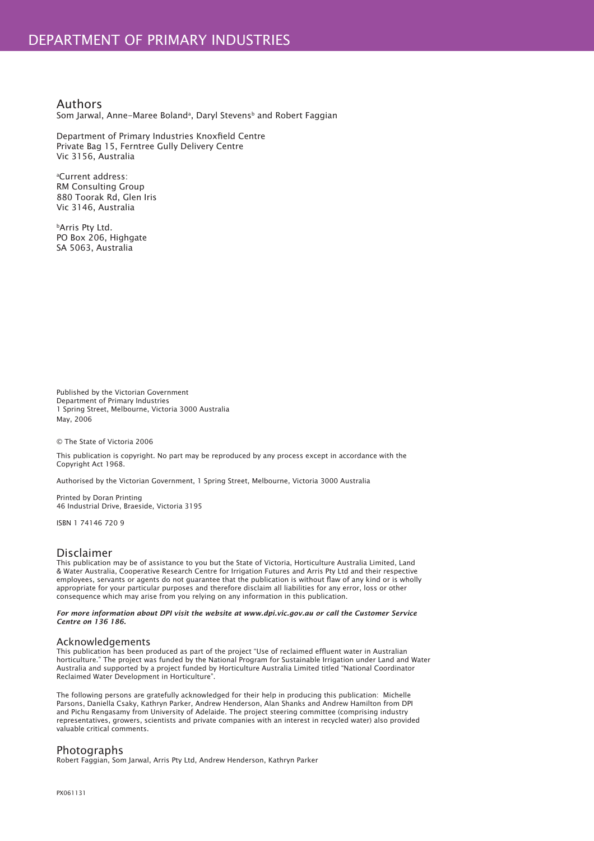Authors Som Jarwal, Anne-Maree Bolandª, Daryl Stevensb and Robert Faggian

Department of Primary Industries Knoxfield Centre Private Bag 15, Ferntree Gully Delivery Centre Vic 3156, Australia

a Current address: RM Consulting Group 880 Toorak Rd, Glen Iris Vic 3146, Australia

bArris Pty Ltd. PO Box 206, Highgate SA 5063, Australia

Published by the Victorian Government Department of Primary Industries 1 Spring Street, Melbourne, Victoria 3000 Australia May, 2006

© The State of Victoria 2006

This publication is copyright. No part may be reproduced by any process except in accordance with the Copyright Act 1968.

Authorised by the Victorian Government, 1 Spring Street, Melbourne, Victoria 3000 Australia

Printed by Doran Printing 46 Industrial Drive, Braeside, Victoria 3195

ISBN 1 74146 720 9

#### Disclaimer

This publication may be of assistance to you but the State of Victoria, Horticulture Australia Limited, Land & Water Australia, Cooperative Research Centre for Irrigation Futures and Arris Pty Ltd and their respective employees, servants or agents do not guarantee that the publication is without flaw of any kind or is wholly appropriate for your particular purposes and therefore disclaim all liabilities for any error, loss or other consequence which may arise from you relying on any information in this publication.

*For more information about DPI visit the website at www.dpi.vic.gov.au or call the Customer Service Centre on 136 186.* 

#### Acknowledgements

This publication has been produced as part of the project "Use of reclaimed effl uent water in Australian horticulture." The project was funded by the National Program for Sustainable Irrigation under Land and Water Australia and supported by a project funded by Horticulture Australia Limited titled "National Coordinator Reclaimed Water Development in Horticulture".

The following persons are gratefully acknowledged for their help in producing this publication: Michelle Parsons, Daniella Csaky, Kathryn Parker, Andrew Henderson, Alan Shanks and Andrew Hamilton from DPI and Pichu Rengasamy from University of Adelaide. The project steering committee (comprising industry representatives, growers, scientists and private companies with an interest in recycled water) also provided valuable critical comments.

#### **Photographs**

Robert Faggian, Som Jarwal, Arris Pty Ltd, Andrew Henderson, Kathryn Parker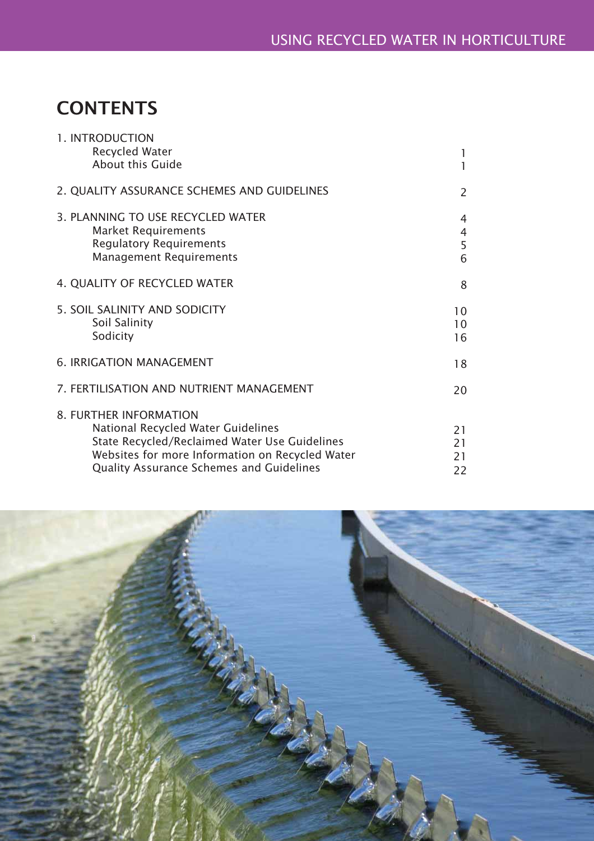# **CONTENTS**

| 1. INTRODUCTION<br><b>Recycled Water</b>                                                                                                                                                                            | 1                                          |
|---------------------------------------------------------------------------------------------------------------------------------------------------------------------------------------------------------------------|--------------------------------------------|
| About this Guide                                                                                                                                                                                                    | $\mathbf{1}$                               |
| 2. QUALITY ASSURANCE SCHEMES AND GUIDELINES                                                                                                                                                                         | $\overline{2}$                             |
| 3. PLANNING TO USE RECYCLED WATER<br><b>Market Requirements</b><br><b>Regulatory Requirements</b><br><b>Management Requirements</b>                                                                                 | $\overline{4}$<br>$\overline{4}$<br>5<br>6 |
| 4. QUALITY OF RECYCLED WATER                                                                                                                                                                                        | 8                                          |
| 5. SOIL SALINITY AND SODICITY<br>Soil Salinity<br>Sodicity                                                                                                                                                          | 10<br>10<br>16                             |
| <b>6. IRRIGATION MANAGEMENT</b>                                                                                                                                                                                     | 18                                         |
| 7. FERTILISATION AND NUTRIENT MANAGEMENT                                                                                                                                                                            | 20                                         |
| 8. FURTHER INFORMATION<br>National Recycled Water Guidelines<br>State Recycled/Reclaimed Water Use Guidelines<br>Websites for more Information on Recycled Water<br><b>Quality Assurance Schemes and Guidelines</b> | 21<br>21<br>21<br>22                       |

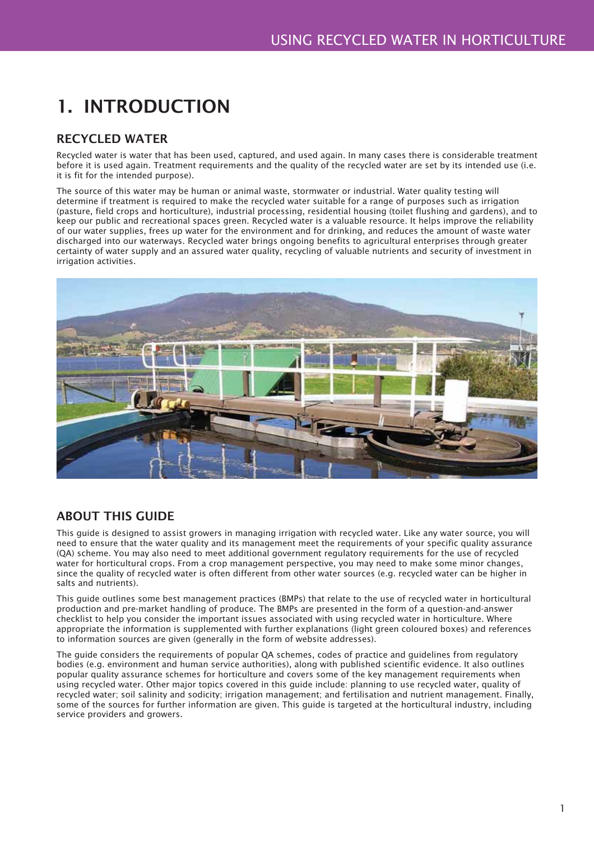# 1. INTRODUCTION

## RECYCLED WATER

Recycled water is water that has been used, captured, and used again. In many cases there is considerable treatment before it is used again. Treatment requirements and the quality of the recycled water are set by its intended use (i.e. it is fit for the intended purpose).

The source of this water may be human or animal waste, stormwater or industrial. Water quality testing will determine if treatment is required to make the recycled water suitable for a range of purposes such as irrigation (pasture, field crops and horticulture), industrial processing, residential housing (toilet flushing and gardens), and to keep our public and recreational spaces green. Recycled water is a valuable resource. It helps improve the reliability of our water supplies, frees up water for the environment and for drinking, and reduces the amount of waste water discharged into our waterways. Recycled water brings ongoing benefits to agricultural enterprises through greater certainty of water supply and an assured water quality, recycling of valuable nutrients and security of investment in irrigation activities.



## ABOUT THIS GUIDE

This guide is designed to assist growers in managing irrigation with recycled water. Like any water source, you will need to ensure that the water quality and its management meet the requirements of your specific quality assurance (QA) scheme. You may also need to meet additional government regulatory requirements for the use of recycled water for horticultural crops. From a crop management perspective, you may need to make some minor changes, since the quality of recycled water is often different from other water sources (e.g. recycled water can be higher in salts and nutrients).

This guide outlines some best management practices (BMPs) that relate to the use of recycled water in horticultural production and pre-market handling of produce. The BMPs are presented in the form of a question-and-answer checklist to help you consider the important issues associated with using recycled water in horticulture. Where appropriate the information is supplemented with further explanations (light green coloured boxes) and references to information sources are given (generally in the form of website addresses).

The guide considers the requirements of popular QA schemes, codes of practice and guidelines from regulatory bodies (e.g. environment and human service authorities), along with published scientific evidence. It also outlines popular quality assurance schemes for horticulture and covers some of the key management requirements when using recycled water. Other major topics covered in this guide include: planning to use recycled water, quality of recycled water; soil salinity and sodicity; irrigation management; and fertilisation and nutrient management. Finally, some of the sources for further information are given. This guide is targeted at the horticultural industry, including service providers and growers.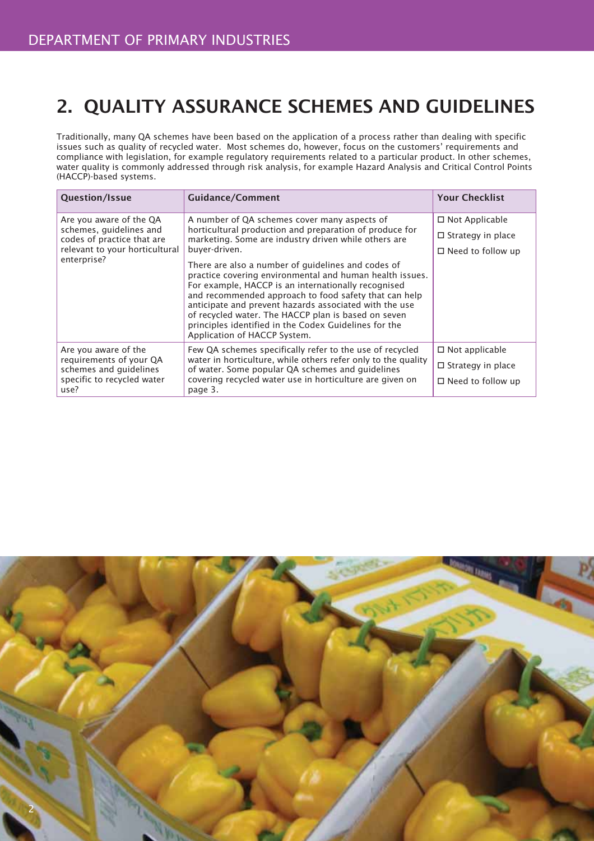# 2. QUALITY ASSURANCE SCHEMES AND GUIDELINES

Traditionally, many QA schemes have been based on the application of a process rather than dealing with specific issues such as quality of recycled water. Most schemes do, however, focus on the customers' requirements and compliance with legislation, for example regulatory requirements related to a particular product. In other schemes, water quality is commonly addressed through risk analysis, for example Hazard Analysis and Critical Control Points (HACCP)-based systems.

| <b>Question/Issue</b>                                                                                           | <b>Guidance/Comment</b>                                                                                                                                                                                                                                                                                                                                                                                                                  | <b>Your Checklist</b>    |
|-----------------------------------------------------------------------------------------------------------------|------------------------------------------------------------------------------------------------------------------------------------------------------------------------------------------------------------------------------------------------------------------------------------------------------------------------------------------------------------------------------------------------------------------------------------------|--------------------------|
| Are you aware of the QA                                                                                         | A number of QA schemes cover many aspects of                                                                                                                                                                                                                                                                                                                                                                                             | $\Box$ Not Applicable    |
| schemes, guidelines and<br>codes of practice that are                                                           | horticultural production and preparation of produce for<br>marketing. Some are industry driven while others are<br>buyer-driven.                                                                                                                                                                                                                                                                                                         | $\Box$ Strategy in place |
| relevant to your horticultural                                                                                  |                                                                                                                                                                                                                                                                                                                                                                                                                                          | $\Box$ Need to follow up |
| enterprise?                                                                                                     | There are also a number of guidelines and codes of<br>practice covering environmental and human health issues.<br>For example, HACCP is an internationally recognised<br>and recommended approach to food safety that can help<br>anticipate and prevent hazards associated with the use<br>of recycled water. The HACCP plan is based on seven<br>principles identified in the Codex Guidelines for the<br>Application of HACCP System. |                          |
| Are you aware of the<br>requirements of your QA<br>schemes and guidelines<br>specific to recycled water<br>use? | Few QA schemes specifically refer to the use of recycled                                                                                                                                                                                                                                                                                                                                                                                 | $\Box$ Not applicable    |
|                                                                                                                 | water in horticulture, while others refer only to the quality<br>of water. Some popular QA schemes and guidelines                                                                                                                                                                                                                                                                                                                        | $\Box$ Strategy in place |
|                                                                                                                 | covering recycled water use in horticulture are given on<br>page 3.                                                                                                                                                                                                                                                                                                                                                                      | $\Box$ Need to follow up |

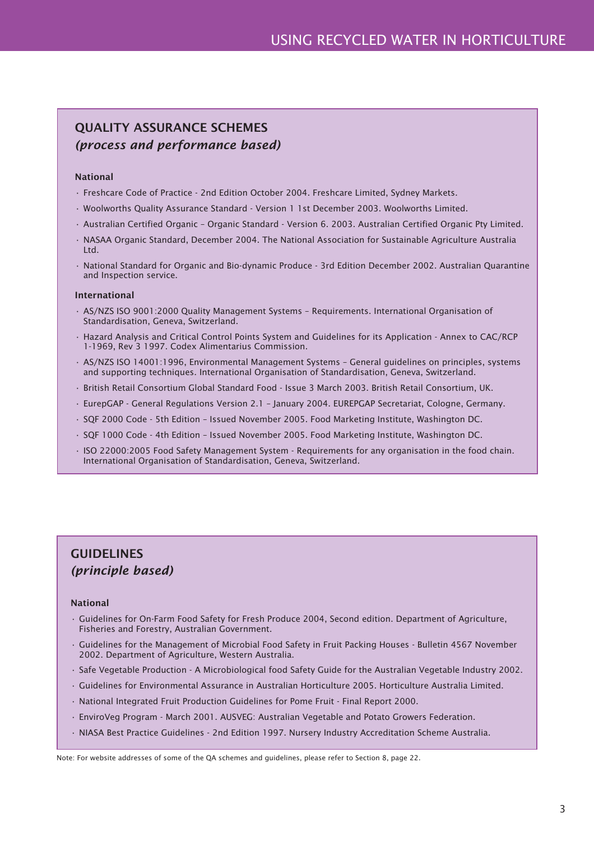## QUALITY ASSURANCE SCHEMES *(process and performance based)*

#### National

- Freshcare Code of Practice 2nd Edition October 2004. Freshcare Limited, Sydney Markets.
- Woolworths Quality Assurance Standard Version 1 1st December 2003. Woolworths Limited.
- Australian Certified Organic Organic Standard Version 6. 2003. Australian Certified Organic Pty Limited.
- NASAA Organic Standard, December 2004. The National Association for Sustainable Agriculture Australia Ltd.
- National Standard for Organic and Bio-dynamic Produce 3rd Edition December 2002. Australian Quarantine and Inspection service.

#### International

- AS/NZS ISO 9001:2000 Quality Management Systems Requirements. International Organisation of Standardisation, Geneva, Switzerland.
- Hazard Analysis and Critical Control Points System and Guidelines for its Application Annex to CAC/RCP 1-1969, Rev 3 1997. Codex Alimentarius Commission.
- AS/NZS ISO 14001:1996, Environmental Management Systems General guidelines on principles, systems and supporting techniques. International Organisation of Standardisation, Geneva, Switzerland.
- British Retail Consortium Global Standard Food Issue 3 March 2003. British Retail Consortium, UK.
- EurepGAP General Regulations Version 2.1 January 2004. EUREPGAP Secretariat, Cologne, Germany.
- SQF 2000 Code 5th Edition Issued November 2005. Food Marketing Institute, Washington DC.
- SQF 1000 Code 4th Edition Issued November 2005. Food Marketing Institute, Washington DC.
- ISO 22000:2005 Food Safety Management System Requirements for any organisation in the food chain. International Organisation of Standardisation, Geneva, Switzerland.

## GUIDELINES *(principle based)*

#### National

- Guidelines for On-Farm Food Safety for Fresh Produce 2004, Second edition. Department of Agriculture, Fisheries and Forestry, Australian Government.
- Guidelines for the Management of Microbial Food Safety in Fruit Packing Houses Bulletin 4567 November 2002. Department of Agriculture, Western Australia.
- Safe Vegetable Production A Microbiological food Safety Guide for the Australian Vegetable Industry 2002.
- Guidelines for Environmental Assurance in Australian Horticulture 2005. Horticulture Australia Limited.
- National Integrated Fruit Production Guidelines for Pome Fruit Final Report 2000.
- EnviroVeg Program March 2001. AUSVEG: Australian Vegetable and Potato Growers Federation.
- NIASA Best Practice Guidelines 2nd Edition 1997. Nursery Industry Accreditation Scheme Australia.

Note: For website addresses of some of the QA schemes and guidelines, please refer to Section 8, page 22.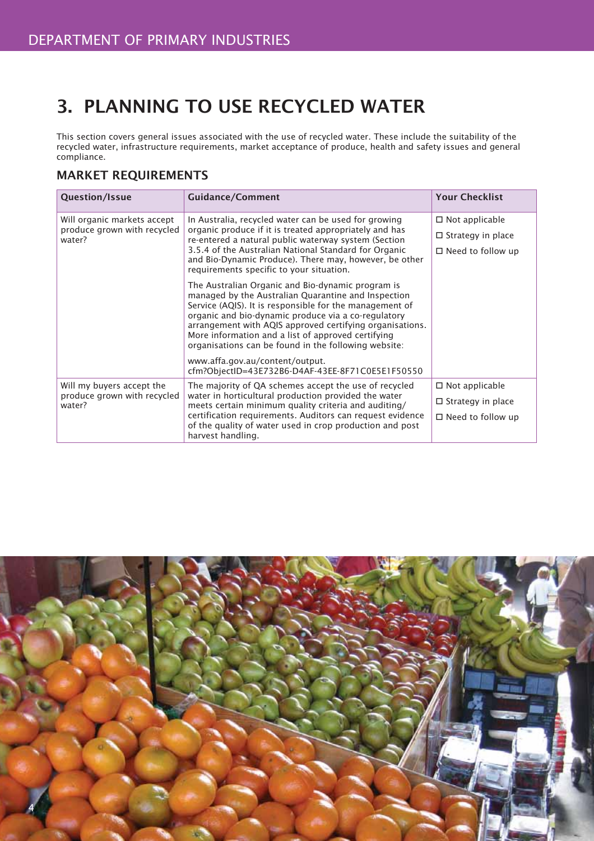# 3. PLANNING TO USE RECYCLED WATER

This section covers general issues associated with the use of recycled water. These include the suitability of the recycled water, infrastructure requirements, market acceptance of produce, health and safety issues and general compliance.

### MARKET REQUIREMENTS

| Question/Issue                                                       | <b>Guidance/Comment</b>                                                                                                                                                                                                                                                                                                                                                                              | <b>Your Checklist</b>                             |
|----------------------------------------------------------------------|------------------------------------------------------------------------------------------------------------------------------------------------------------------------------------------------------------------------------------------------------------------------------------------------------------------------------------------------------------------------------------------------------|---------------------------------------------------|
| Will organic markets accept<br>produce grown with recycled<br>water? | In Australia, recycled water can be used for growing<br>organic produce if it is treated appropriately and has<br>re-entered a natural public waterway system (Section<br>3.5.4 of the Australian National Standard for Organic<br>and Bio-Dynamic Produce). There may, however, be other<br>requirements specific to your situation.                                                                | $\Box$ Not applicable<br>$\Box$ Strategy in place |
|                                                                      |                                                                                                                                                                                                                                                                                                                                                                                                      | $\Box$ Need to follow up                          |
|                                                                      | The Australian Organic and Bio-dynamic program is<br>managed by the Australian Quarantine and Inspection<br>Service (AQIS). It is responsible for the management of<br>organic and bio-dynamic produce via a co-regulatory<br>arrangement with AQIS approved certifying organisations.<br>More information and a list of approved certifying<br>organisations can be found in the following website: |                                                   |
|                                                                      | www.affa.gov.au/content/output.<br>cfm?ObjectID=43E732B6-D4AF-43EE-8F71C0E5E1F50550                                                                                                                                                                                                                                                                                                                  |                                                   |
| Will my buyers accept the                                            | The majority of QA schemes accept the use of recycled                                                                                                                                                                                                                                                                                                                                                | $\Box$ Not applicable                             |
| produce grown with recycled<br>water?                                | water in horticultural production provided the water<br>meets certain minimum quality criteria and auditing/                                                                                                                                                                                                                                                                                         | $\Box$ Strategy in place                          |
|                                                                      | certification requirements. Auditors can request evidence<br>of the quality of water used in crop production and post<br>harvest handling.                                                                                                                                                                                                                                                           | $\Box$ Need to follow up                          |

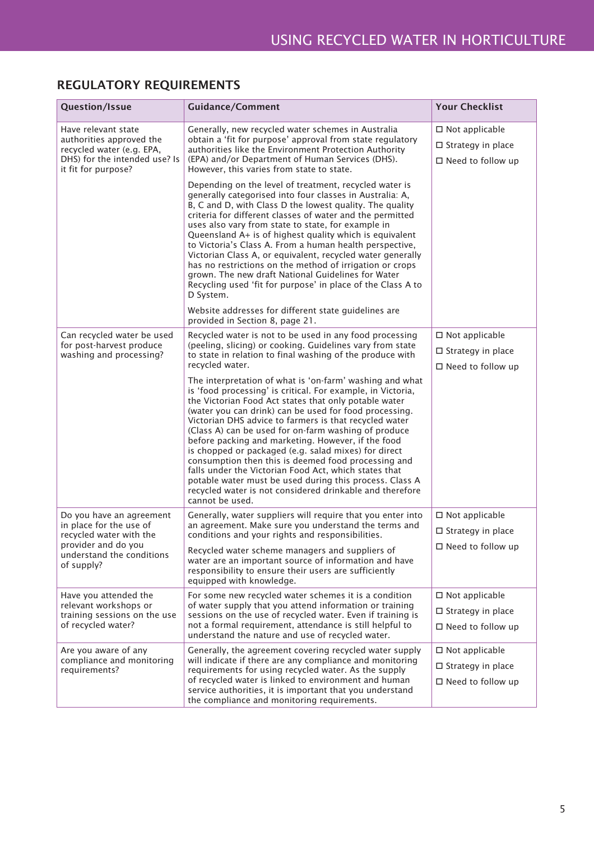| Question/Issue                                                                                                                       | <b>Guidance/Comment</b>                                                                                                                                                                                                                                                                                                                                                                                                                                                                                                                                                                                                                                                                                                              | <b>Your Checklist</b>                                                               |
|--------------------------------------------------------------------------------------------------------------------------------------|--------------------------------------------------------------------------------------------------------------------------------------------------------------------------------------------------------------------------------------------------------------------------------------------------------------------------------------------------------------------------------------------------------------------------------------------------------------------------------------------------------------------------------------------------------------------------------------------------------------------------------------------------------------------------------------------------------------------------------------|-------------------------------------------------------------------------------------|
| Have relevant state<br>authorities approved the<br>recycled water (e.g. EPA,<br>DHS) for the intended use? Is<br>it fit for purpose? | Generally, new recycled water schemes in Australia<br>obtain a 'fit for purpose' approval from state regulatory<br>authorities like the Environment Protection Authority<br>(EPA) and/or Department of Human Services (DHS).<br>However, this varies from state to state.                                                                                                                                                                                                                                                                                                                                                                                                                                                            | $\square$ Not applicable<br>$\square$ Strategy in place<br>$\Box$ Need to follow up |
|                                                                                                                                      | Depending on the level of treatment, recycled water is<br>generally categorised into four classes in Australia: A,<br>B, C and D, with Class D the lowest quality. The quality<br>criteria for different classes of water and the permitted<br>uses also vary from state to state, for example in<br>Queensland A+ is of highest quality which is equivalent<br>to Victoria's Class A. From a human health perspective,<br>Victorian Class A, or equivalent, recycled water generally<br>has no restrictions on the method of irrigation or crops<br>grown. The new draft National Guidelines for Water<br>Recycling used 'fit for purpose' in place of the Class A to<br>D System.                                                  |                                                                                     |
|                                                                                                                                      | Website addresses for different state guidelines are<br>provided in Section 8, page 21.                                                                                                                                                                                                                                                                                                                                                                                                                                                                                                                                                                                                                                              |                                                                                     |
| Can recycled water be used<br>for post-harvest produce<br>washing and processing?                                                    | Recycled water is not to be used in any food processing<br>(peeling, slicing) or cooking. Guidelines vary from state<br>to state in relation to final washing of the produce with<br>recycled water.                                                                                                                                                                                                                                                                                                                                                                                                                                                                                                                                 | $\Box$ Not applicable<br>$\square$ Strategy in place<br>$\Box$ Need to follow up    |
|                                                                                                                                      | The interpretation of what is 'on-farm' washing and what<br>is 'food processing' is critical. For example, in Victoria,<br>the Victorian Food Act states that only potable water<br>(water you can drink) can be used for food processing.<br>Victorian DHS advice to farmers is that recycled water<br>(Class A) can be used for on-farm washing of produce<br>before packing and marketing. However, if the food<br>is chopped or packaged (e.g. salad mixes) for direct<br>consumption then this is deemed food processing and<br>falls under the Victorian Food Act, which states that<br>potable water must be used during this process. Class A<br>recycled water is not considered drinkable and therefore<br>cannot be used. |                                                                                     |
| Do you have an agreement<br>in place for the use of<br>recycled water with the                                                       | Generally, water suppliers will require that you enter into<br>an agreement. Make sure you understand the terms and<br>conditions and your rights and responsibilities.                                                                                                                                                                                                                                                                                                                                                                                                                                                                                                                                                              | $\square$ Not applicable<br>□ Strategy in place                                     |
| provider and do you<br>understand the conditions<br>of supply?                                                                       | Recycled water scheme managers and suppliers of<br>water are an important source of information and have<br>responsibility to ensure their users are sufficiently<br>equipped with knowledge.                                                                                                                                                                                                                                                                                                                                                                                                                                                                                                                                        | $\Box$ Need to follow up                                                            |
| Have you attended the<br>relevant workshops or<br>training sessions on the use<br>of recycled water?                                 | For some new recycled water schemes it is a condition<br>of water supply that you attend information or training<br>sessions on the use of recycled water. Even if training is<br>not a formal requirement, attendance is still helpful to<br>understand the nature and use of recycled water.                                                                                                                                                                                                                                                                                                                                                                                                                                       | $\Box$ Not applicable<br>$\square$ Strategy in place<br>$\Box$ Need to follow up    |
| Are you aware of any<br>compliance and monitoring<br>requirements?                                                                   | Generally, the agreement covering recycled water supply<br>will indicate if there are any compliance and monitoring<br>requirements for using recycled water. As the supply<br>of recycled water is linked to environment and human<br>service authorities, it is important that you understand<br>the compliance and monitoring requirements.                                                                                                                                                                                                                                                                                                                                                                                       | $\square$ Not applicable<br>$\square$ Strategy in place<br>$\Box$ Need to follow up |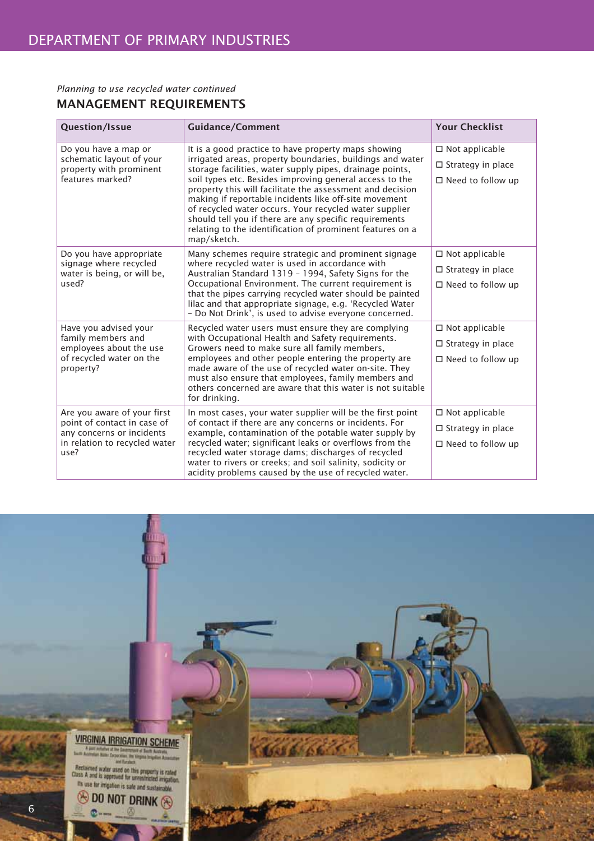#### *Planning to use recycled water continued*

## MANAGEMENT REQUIREMENTS

| Question/Issue                                                                                                                   | <b>Guidance/Comment</b>                                                                                                                                                                                                                                                                                                                                                                                                                                                                                                                                       | <b>Your Checklist</b>                                                            |
|----------------------------------------------------------------------------------------------------------------------------------|---------------------------------------------------------------------------------------------------------------------------------------------------------------------------------------------------------------------------------------------------------------------------------------------------------------------------------------------------------------------------------------------------------------------------------------------------------------------------------------------------------------------------------------------------------------|----------------------------------------------------------------------------------|
| Do you have a map or<br>schematic layout of your<br>property with prominent<br>features marked?                                  | It is a good practice to have property maps showing<br>irrigated areas, property boundaries, buildings and water<br>storage facilities, water supply pipes, drainage points,<br>soil types etc. Besides improving general access to the<br>property this will facilitate the assessment and decision<br>making if reportable incidents like off-site movement<br>of recycled water occurs. Your recycled water supplier<br>should tell you if there are any specific requirements<br>relating to the identification of prominent features on a<br>map/sketch. | $\Box$ Not applicable<br>$\Box$ Strategy in place<br>$\Box$ Need to follow up    |
| Do you have appropriate<br>signage where recycled<br>water is being, or will be,<br>used?                                        | Many schemes require strategic and prominent signage<br>where recycled water is used in accordance with<br>Australian Standard 1319 - 1994, Safety Signs for the<br>Occupational Environment. The current requirement is<br>that the pipes carrying recycled water should be painted<br>lilac and that appropriate signage, e.g. 'Recycled Water<br>- Do Not Drink', is used to advise everyone concerned.                                                                                                                                                    | $\square$ Not applicable<br>$\Box$ Strategy in place<br>$\Box$ Need to follow up |
| Have you advised your<br>family members and<br>employees about the use<br>of recycled water on the<br>property?                  | Recycled water users must ensure they are complying<br>with Occupational Health and Safety requirements.<br>Growers need to make sure all family members,<br>employees and other people entering the property are<br>made aware of the use of recycled water on-site. They<br>must also ensure that employees, family members and<br>others concerned are aware that this water is not suitable<br>for drinking.                                                                                                                                              | $\Box$ Not applicable<br>$\Box$ Strategy in place<br>$\Box$ Need to follow up    |
| Are you aware of your first<br>point of contact in case of<br>any concerns or incidents<br>in relation to recycled water<br>use? | In most cases, your water supplier will be the first point<br>of contact if there are any concerns or incidents. For<br>example, contamination of the potable water supply by<br>recycled water; significant leaks or overflows from the<br>recycled water storage dams; discharges of recycled<br>water to rivers or creeks; and soil salinity, sodicity or<br>acidity problems caused by the use of recycled water.                                                                                                                                         | $\Box$ Not applicable<br>$\Box$ Strategy in place<br>$\Box$ Need to follow up    |

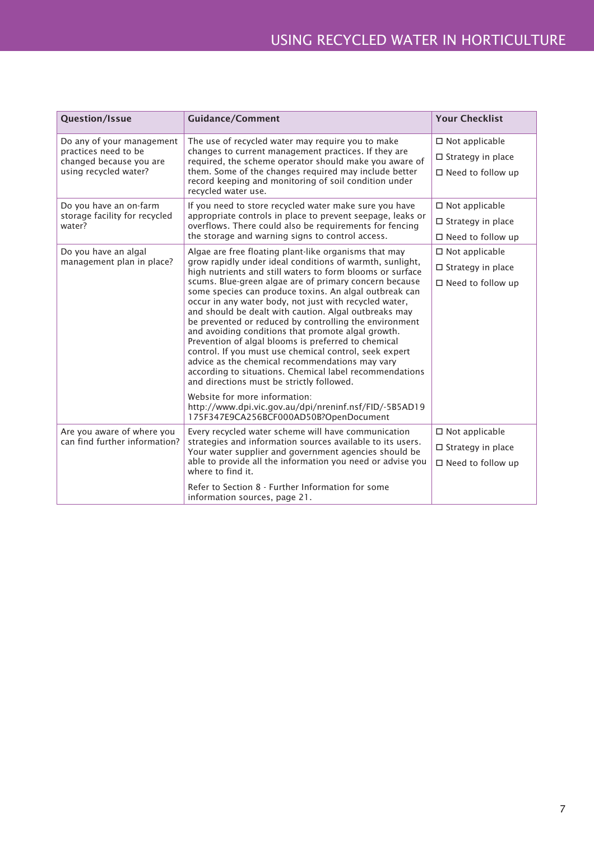| Question/Issue                                                                                        | <b>Guidance/Comment</b>                                                                                                                                                                                                                                                                                                                                                                                                                                                                                                                                                                                                                                                                                                                                                                                                                                                                                      | <b>Your Checklist</b>                                                            |
|-------------------------------------------------------------------------------------------------------|--------------------------------------------------------------------------------------------------------------------------------------------------------------------------------------------------------------------------------------------------------------------------------------------------------------------------------------------------------------------------------------------------------------------------------------------------------------------------------------------------------------------------------------------------------------------------------------------------------------------------------------------------------------------------------------------------------------------------------------------------------------------------------------------------------------------------------------------------------------------------------------------------------------|----------------------------------------------------------------------------------|
| Do any of your management<br>practices need to be<br>changed because you are<br>using recycled water? | The use of recycled water may require you to make<br>changes to current management practices. If they are<br>required, the scheme operator should make you aware of<br>them. Some of the changes required may include better<br>record keeping and monitoring of soil condition under                                                                                                                                                                                                                                                                                                                                                                                                                                                                                                                                                                                                                        | $\square$ Not applicable<br>$\Box$ Strategy in place<br>$\Box$ Need to follow up |
| Do you have an on-farm<br>storage facility for recycled<br>water?                                     | recycled water use.<br>If you need to store recycled water make sure you have<br>appropriate controls in place to prevent seepage, leaks or<br>overflows. There could also be requirements for fencing<br>the storage and warning signs to control access.                                                                                                                                                                                                                                                                                                                                                                                                                                                                                                                                                                                                                                                   | $\square$ Not applicable<br>$\Box$ Strategy in place<br>$\Box$ Need to follow up |
| Do you have an algal<br>management plan in place?                                                     | Algae are free floating plant-like organisms that may<br>grow rapidly under ideal conditions of warmth, sunlight,<br>high nutrients and still waters to form blooms or surface<br>scums. Blue-green algae are of primary concern because<br>some species can produce toxins. An algal outbreak can<br>occur in any water body, not just with recycled water,<br>and should be dealt with caution. Algal outbreaks may<br>be prevented or reduced by controlling the environment<br>and avoiding conditions that promote algal growth.<br>Prevention of algal blooms is preferred to chemical<br>control. If you must use chemical control, seek expert<br>advice as the chemical recommendations may vary<br>according to situations. Chemical label recommendations<br>and directions must be strictly followed.<br>Website for more information:<br>http://www.dpi.vic.gov.au/dpi/nreninf.nsf/FID/-5B5AD19 | $\Box$ Not applicable<br>$\Box$ Strategy in place<br>$\Box$ Need to follow up    |
| Are you aware of where you<br>can find further information?                                           | 175F347E9CA256BCF000AD50B?OpenDocument<br>Every recycled water scheme will have communication<br>strategies and information sources available to its users.<br>Your water supplier and government agencies should be<br>able to provide all the information you need or advise you<br>where to find it.<br>Refer to Section 8 - Further Information for some<br>information sources, page 21.                                                                                                                                                                                                                                                                                                                                                                                                                                                                                                                | $\square$ Not applicable<br>$\Box$ Strategy in place<br>$\Box$ Need to follow up |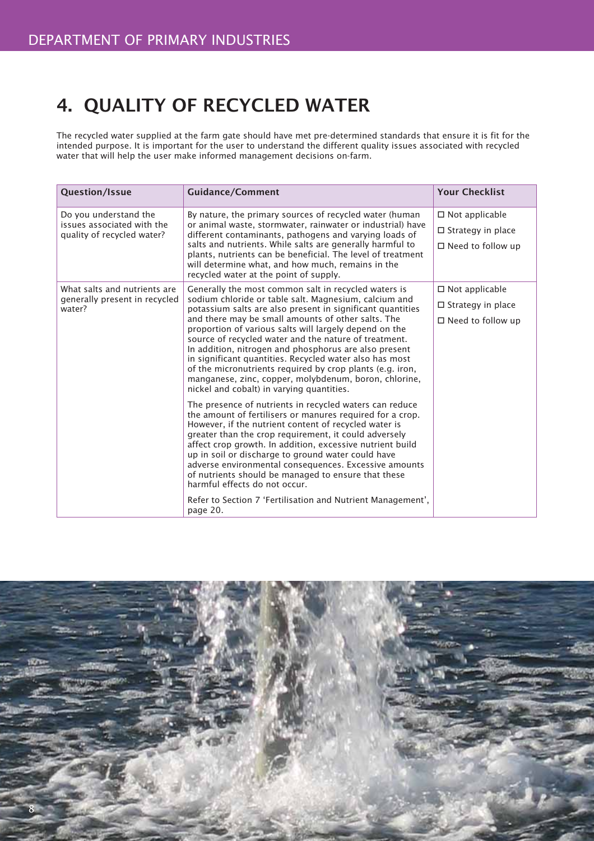# 4. QUALITY OF RECYCLED WATER

The recycled water supplied at the farm gate should have met pre-determined standards that ensure it is fit for the intended purpose. It is important for the user to understand the different quality issues associated with recycled water that will help the user make informed management decisions on-farm.

| <b>Question/Issue</b>                                                            | <b>Guidance/Comment</b>                                                                                                                                                                                                                                                                                                                                                                                                                                                                                                                                                   | <b>Your Checklist</b>       |
|----------------------------------------------------------------------------------|---------------------------------------------------------------------------------------------------------------------------------------------------------------------------------------------------------------------------------------------------------------------------------------------------------------------------------------------------------------------------------------------------------------------------------------------------------------------------------------------------------------------------------------------------------------------------|-----------------------------|
| By nature, the primary sources of recycled water (human<br>Do you understand the | $\Box$ Not applicable                                                                                                                                                                                                                                                                                                                                                                                                                                                                                                                                                     |                             |
| issues associated with the<br>quality of recycled water?                         | or animal waste, stormwater, rainwater or industrial) have<br>different contaminants, pathogens and varying loads of<br>salts and nutrients. While salts are generally harmful to<br>plants, nutrients can be beneficial. The level of treatment<br>will determine what, and how much, remains in the<br>recycled water at the point of supply.                                                                                                                                                                                                                           | $\Box$ Strategy in place    |
|                                                                                  |                                                                                                                                                                                                                                                                                                                                                                                                                                                                                                                                                                           | $\Box$ Need to follow up    |
| What salts and nutrients are                                                     | Generally the most common salt in recycled waters is                                                                                                                                                                                                                                                                                                                                                                                                                                                                                                                      | $\Box$ Not applicable       |
| generally present in recycled<br>water?                                          | sodium chloride or table salt. Magnesium, calcium and<br>potassium salts are also present in significant quantities                                                                                                                                                                                                                                                                                                                                                                                                                                                       | $\Box$ Strategy in place    |
|                                                                                  | and there may be small amounts of other salts. The<br>proportion of various salts will largely depend on the<br>source of recycled water and the nature of treatment.<br>In addition, nitrogen and phosphorus are also present<br>in significant quantities. Recycled water also has most<br>of the micronutrients required by crop plants (e.g. iron,<br>manganese, zinc, copper, molybdenum, boron, chlorine,<br>nickel and cobalt) in varying quantities.                                                                                                              | $\square$ Need to follow up |
|                                                                                  | The presence of nutrients in recycled waters can reduce<br>the amount of fertilisers or manures required for a crop.<br>However, if the nutrient content of recycled water is<br>greater than the crop requirement, it could adversely<br>affect crop growth. In addition, excessive nutrient build<br>up in soil or discharge to ground water could have<br>adverse environmental consequences. Excessive amounts<br>of nutrients should be managed to ensure that these<br>harmful effects do not occur.<br>Refer to Section 7 'Fertilisation and Nutrient Management', |                             |
|                                                                                  | page 20.                                                                                                                                                                                                                                                                                                                                                                                                                                                                                                                                                                  |                             |

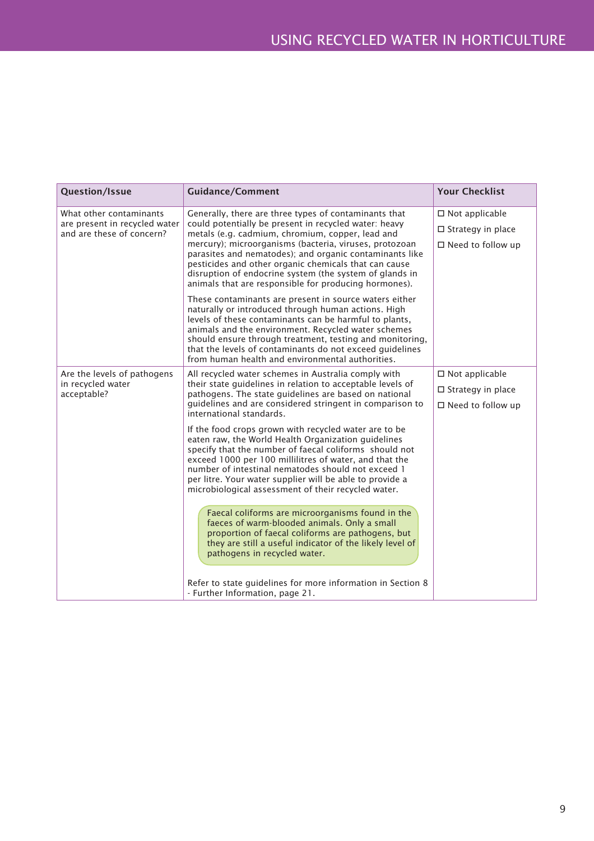| Question/Issue                                                                        | <b>Guidance/Comment</b>                                                                                                                                                                                                                                                                                                                                                                                                                                              | <b>Your Checklist</b>                                                               |
|---------------------------------------------------------------------------------------|----------------------------------------------------------------------------------------------------------------------------------------------------------------------------------------------------------------------------------------------------------------------------------------------------------------------------------------------------------------------------------------------------------------------------------------------------------------------|-------------------------------------------------------------------------------------|
| What other contaminants<br>are present in recycled water<br>and are these of concern? | Generally, there are three types of contaminants that<br>could potentially be present in recycled water: heavy<br>metals (e.g. cadmium, chromium, copper, lead and<br>mercury); microorganisms (bacteria, viruses, protozoan<br>parasites and nematodes); and organic contaminants like<br>pesticides and other organic chemicals that can cause<br>disruption of endocrine system (the system of glands in<br>animals that are responsible for producing hormones). | $\square$ Not applicable<br>$\Box$ Strategy in place<br>$\square$ Need to follow up |
|                                                                                       | These contaminants are present in source waters either<br>naturally or introduced through human actions. High<br>levels of these contaminants can be harmful to plants,<br>animals and the environment. Recycled water schemes<br>should ensure through treatment, testing and monitoring,<br>that the levels of contaminants do not exceed guidelines<br>from human health and environmental authorities.                                                           |                                                                                     |
| Are the levels of pathogens<br>in recycled water<br>acceptable?                       | All recycled water schemes in Australia comply with<br>their state guidelines in relation to acceptable levels of<br>pathogens. The state guidelines are based on national<br>guidelines and are considered stringent in comparison to<br>international standards.                                                                                                                                                                                                   | $\square$ Not applicable<br>$\Box$ Strategy in place<br>$\Box$ Need to follow up    |
|                                                                                       | If the food crops grown with recycled water are to be<br>eaten raw, the World Health Organization guidelines<br>specify that the number of faecal coliforms should not<br>exceed 1000 per 100 millilitres of water, and that the<br>number of intestinal nematodes should not exceed 1<br>per litre. Your water supplier will be able to provide a<br>microbiological assessment of their recycled water.                                                            |                                                                                     |
|                                                                                       | Faecal coliforms are microorganisms found in the<br>faeces of warm-blooded animals. Only a small<br>proportion of faecal coliforms are pathogens, but<br>they are still a useful indicator of the likely level of<br>pathogens in recycled water.                                                                                                                                                                                                                    |                                                                                     |
|                                                                                       | Refer to state guidelines for more information in Section 8<br>- Further Information, page 21.                                                                                                                                                                                                                                                                                                                                                                       |                                                                                     |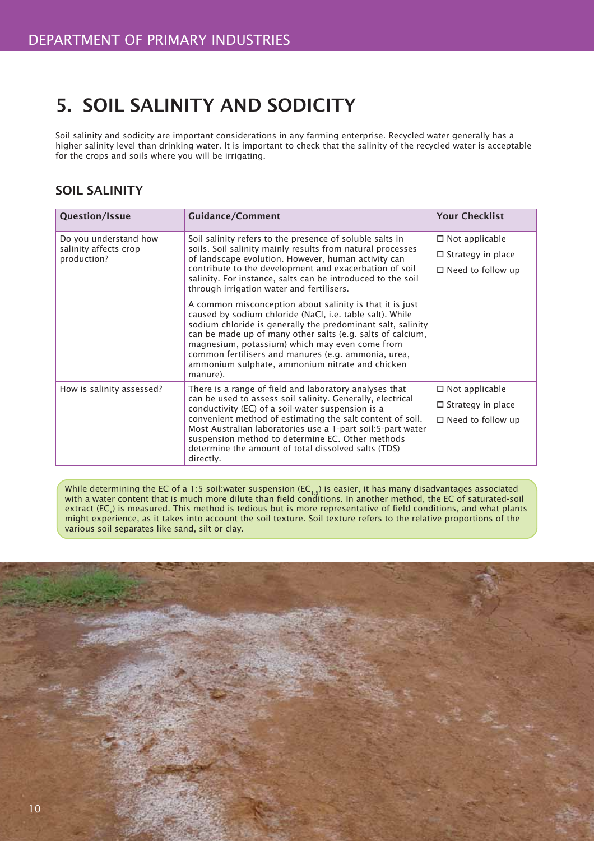# 5. SOIL SALINITY AND SODICITY

Soil salinity and sodicity are important considerations in any farming enterprise. Recycled water generally has a higher salinity level than drinking water. It is important to check that the salinity of the recycled water is acceptable for the crops and soils where you will be irrigating.

## SOIL SALINITY

| <b>Question/Issue</b>                          | <b>Guidance/Comment</b>                                                                                                                                                                                                                                                                                                                                                                                                   | <b>Your Checklist</b>    |
|------------------------------------------------|---------------------------------------------------------------------------------------------------------------------------------------------------------------------------------------------------------------------------------------------------------------------------------------------------------------------------------------------------------------------------------------------------------------------------|--------------------------|
| Do you understand how<br>salinity affects crop | Soil salinity refers to the presence of soluble salts in<br>soils. Soil salinity mainly results from natural processes<br>of landscape evolution. However, human activity can<br>contribute to the development and exacerbation of soil<br>salinity. For instance, salts can be introduced to the soil<br>through irrigation water and fertilisers.                                                                       | $\Box$ Not applicable    |
| production?                                    |                                                                                                                                                                                                                                                                                                                                                                                                                           | $\Box$ Strategy in place |
|                                                |                                                                                                                                                                                                                                                                                                                                                                                                                           | $\Box$ Need to follow up |
|                                                | A common misconception about salinity is that it is just<br>caused by sodium chloride (NaCl, i.e. table salt). While<br>sodium chloride is generally the predominant salt, salinity<br>can be made up of many other salts (e.g. salts of calcium,<br>magnesium, potassium) which may even come from<br>common fertilisers and manures (e.g. ammonia, urea,<br>ammonium sulphate, ammonium nitrate and chicken<br>manure). |                          |
| How is salinity assessed?                      | There is a range of field and laboratory analyses that<br>can be used to assess soil salinity. Generally, electrical<br>conductivity (EC) of a soil-water suspension is a                                                                                                                                                                                                                                                 | $\Box$ Not applicable    |
|                                                |                                                                                                                                                                                                                                                                                                                                                                                                                           | $\Box$ Strategy in place |
|                                                | convenient method of estimating the salt content of soil.<br>Most Australian laboratories use a 1-part soil:5-part water<br>suspension method to determine EC. Other methods<br>determine the amount of total dissolved salts (TDS)<br>directly.                                                                                                                                                                          | $\Box$ Need to follow up |

While determining the EC of a 1:5 soil:water suspension (EC<sub>1:5</sub>) is easier, it has many disadvantages associated<br>with a water content that is much more dilute than field conditions. In another method, the EC of saturatedextract (EC<sub>e</sub>) is measured. This method is tedious but is more representative of field conditions, and what plants might experience, as it takes into account the soil texture. Soil texture refers to the relative proportions of the various soil separates like sand, silt or clay.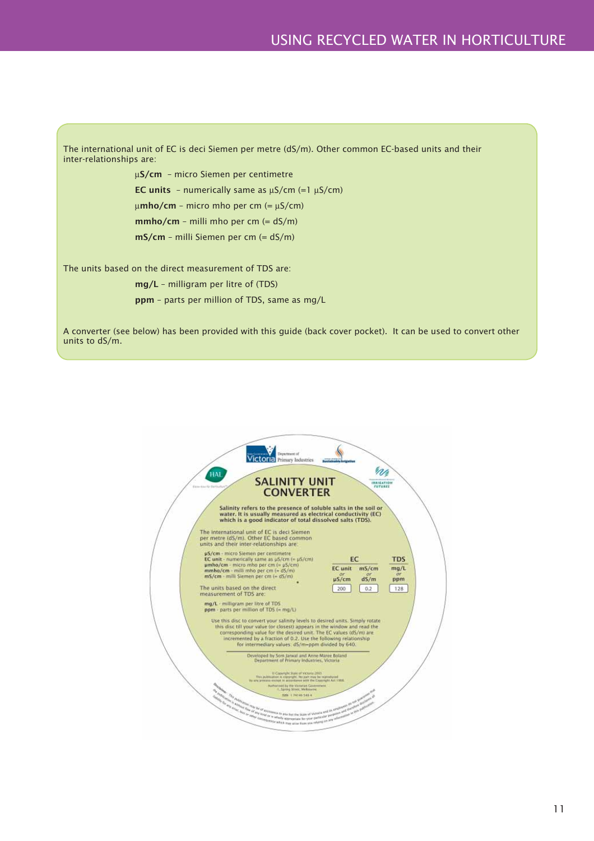

A converter (see below) has been provided with this guide (back cover pocket). It can be used to convert other units to dS/m.

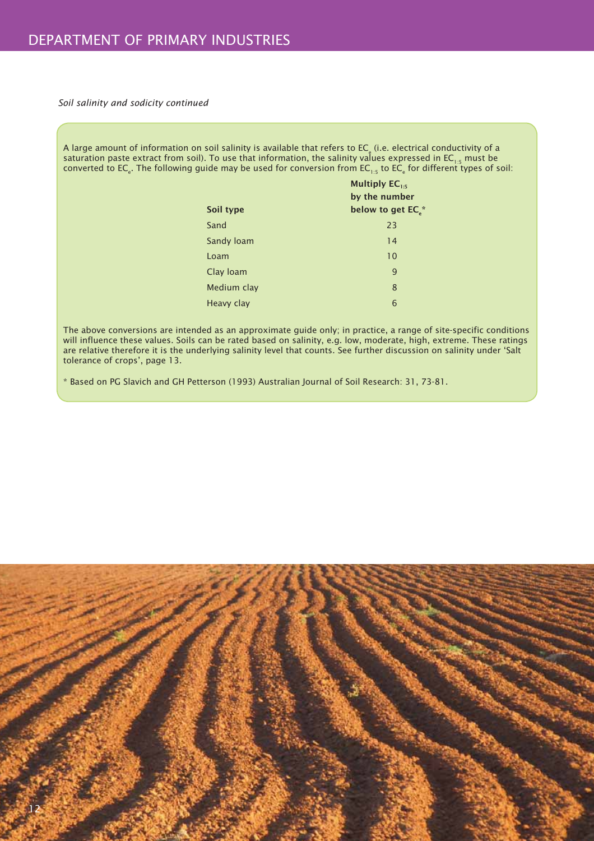*Soil salinity and sodicity continued*

A large amount of information on soil salinity is available that refers to EC $_{\rm e}$  (i.e. electrical conductivity of a saturation paste extract from soil). To use that information, the salinity values expressed in EC $_{\rm 1:5}$  must be converted to EC $_{\rm e}$ . The following guide may be used for conversion from EC $_{\rm 1:5}$  to EC $_{\rm e}$  for different types of soil:

| Soil type   | Multiply $EC_{1:5}$<br>by the number<br>below to get EC.* |
|-------------|-----------------------------------------------------------|
| Sand        | 23                                                        |
| Sandy Ioam  | 14                                                        |
| Loam        | 10                                                        |
| Clay Ioam   | 9                                                         |
| Medium clay | 8                                                         |
| Heavy clay  | 6                                                         |

The above conversions are intended as an approximate guide only; in practice, a range of site-specific conditions will influence these values. Soils can be rated based on salinity, e.g. low, moderate, high, extreme. These ratings are relative therefore it is the underlying salinity level that counts. See further discussion on salinity under 'Salt tolerance of crops', page 13.

\* Based on PG Slavich and GH Petterson (1993) Australian Journal of Soil Research: 31, 73-81.

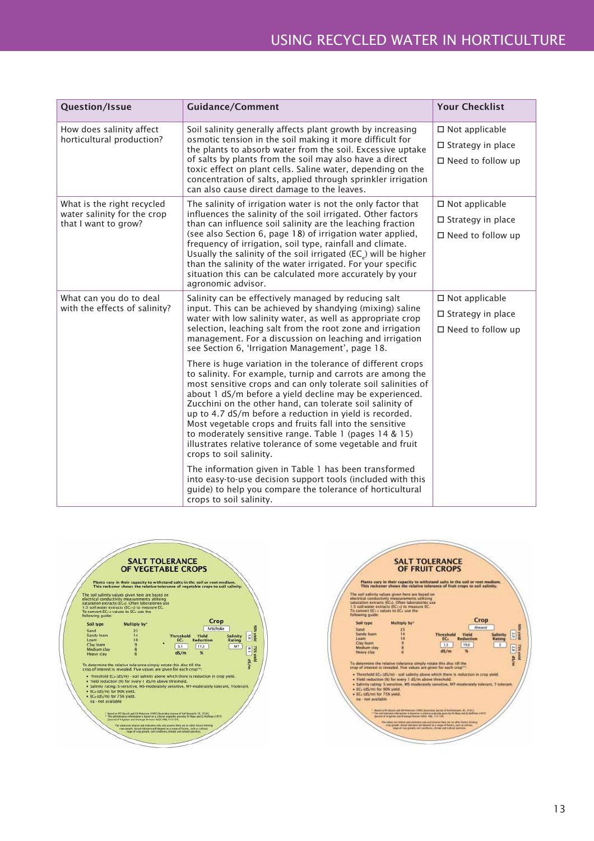| Question/Issue                                        | <b>Guidance/Comment</b>                                                                                                                                                                                                                                                                                                                                                                                                                                                                                                                                                                     | <b>Your Checklist</b>    |
|-------------------------------------------------------|---------------------------------------------------------------------------------------------------------------------------------------------------------------------------------------------------------------------------------------------------------------------------------------------------------------------------------------------------------------------------------------------------------------------------------------------------------------------------------------------------------------------------------------------------------------------------------------------|--------------------------|
| How does salinity affect<br>horticultural production? | Soil salinity generally affects plant growth by increasing<br>osmotic tension in the soil making it more difficult for<br>the plants to absorb water from the soil. Excessive uptake                                                                                                                                                                                                                                                                                                                                                                                                        | $\square$ Not applicable |
|                                                       |                                                                                                                                                                                                                                                                                                                                                                                                                                                                                                                                                                                             | $\Box$ Strategy in place |
|                                                       | of salts by plants from the soil may also have a direct<br>toxic effect on plant cells. Saline water, depending on the<br>concentration of salts, applied through sprinkler irrigation<br>can also cause direct damage to the leaves.                                                                                                                                                                                                                                                                                                                                                       | $\Box$ Need to follow up |
| What is the right recycled                            | The salinity of irrigation water is not the only factor that                                                                                                                                                                                                                                                                                                                                                                                                                                                                                                                                | $\square$ Not applicable |
| water salinity for the crop<br>that I want to grow?   | influences the salinity of the soil irrigated. Other factors<br>than can influence soil salinity are the leaching fraction                                                                                                                                                                                                                                                                                                                                                                                                                                                                  | $\Box$ Strategy in place |
|                                                       | (see also Section 6, page 18) of irrigation water applied,<br>frequency of irrigation, soil type, rainfall and climate.<br>Usually the salinity of the soil irrigated (EC <sub>2</sub> ) will be higher<br>than the salinity of the water irrigated. For your specific<br>situation this can be calculated more accurately by your<br>agronomic advisor.                                                                                                                                                                                                                                    | $\Box$ Need to follow up |
| What can you do to deal                               | Salinity can be effectively managed by reducing salt<br>input. This can be achieved by shandying (mixing) saline<br>water with low salinity water, as well as appropriate crop                                                                                                                                                                                                                                                                                                                                                                                                              | $\square$ Not applicable |
| with the effects of salinity?                         |                                                                                                                                                                                                                                                                                                                                                                                                                                                                                                                                                                                             | $\Box$ Strategy in place |
|                                                       | selection, leaching salt from the root zone and irrigation<br>management. For a discussion on leaching and irrigation<br>see Section 6, 'Irrigation Management', page 18.                                                                                                                                                                                                                                                                                                                                                                                                                   | $\Box$ Need to follow up |
|                                                       | There is huge variation in the tolerance of different crops<br>to salinity. For example, turnip and carrots are among the<br>most sensitive crops and can only tolerate soil salinities of<br>about 1 dS/m before a yield decline may be experienced.<br>Zucchini on the other hand, can tolerate soil salinity of<br>up to 4.7 dS/m before a reduction in yield is recorded.<br>Most vegetable crops and fruits fall into the sensitive<br>to moderately sensitive range. Table 1 (pages 14 & 15)<br>illustrates relative tolerance of some vegetable and fruit<br>crops to soil salinity. |                          |
|                                                       | The information given in Table 1 has been transformed<br>into easy-to-use decision support tools (included with this<br>guide) to help you compare the tolerance of horticultural<br>crops to soil salinity.                                                                                                                                                                                                                                                                                                                                                                                |                          |



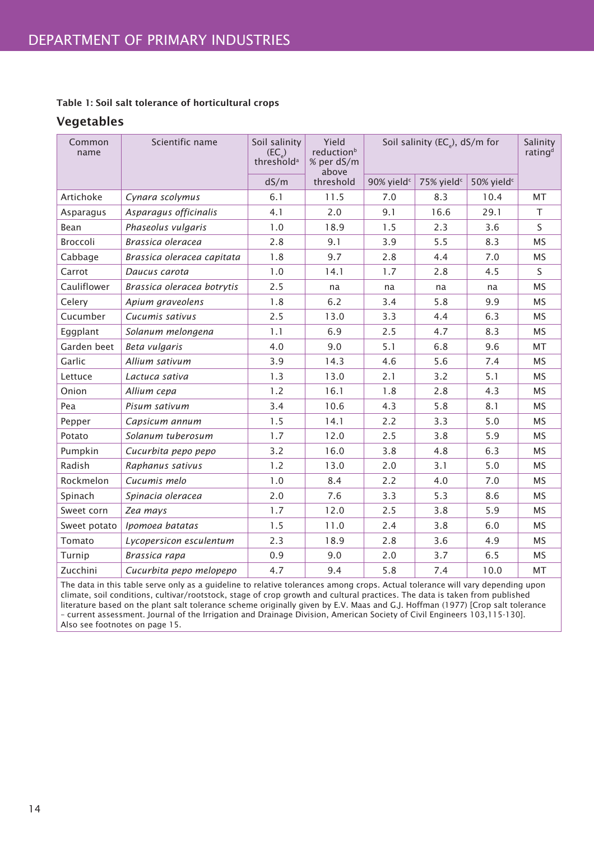#### Table 1: Soil salt tolerance of horticultural crops

#### Vegetables

| Common<br>name | Scientific name            | Soil salinity<br>$(EC_{\circ})$<br>threshold <sup>a</sup> | Yield<br>reduction <sup>b</sup><br>% per dS/m<br>above | Soil salinity (EC <sub>e</sub> ), dS/m for |                        | Salinity<br>rating <sup>d</sup> |           |
|----------------|----------------------------|-----------------------------------------------------------|--------------------------------------------------------|--------------------------------------------|------------------------|---------------------------------|-----------|
|                |                            | dS/m                                                      | threshold                                              | 90% yield <sup>c</sup>                     | 75% yield <sup>c</sup> | 50% yield <sup>c</sup>          |           |
| Artichoke      | Cynara scolymus            | 6.1                                                       | 11.5                                                   | 7.0                                        | 8.3                    | 10.4                            | <b>MT</b> |
| Asparagus      | Asparagus officinalis      | 4.1                                                       | 2.0                                                    | 9.1                                        | 16.6                   | 29.1                            | T.        |
| Bean           | Phaseolus vulgaris         | 1.0                                                       | 18.9                                                   | 1.5                                        | 2.3                    | 3.6                             | S         |
| Broccoli       | Brassica oleracea          | 2.8                                                       | 9.1                                                    | 3.9                                        | 5.5                    | 8.3                             | <b>MS</b> |
| Cabbage        | Brassica oleracea capitata | 1.8                                                       | 9.7                                                    | 2.8                                        | 4.4                    | 7.0                             | <b>MS</b> |
| Carrot         | Daucus carota              | 1.0                                                       | 14.1                                                   | 1.7                                        | 2.8                    | 4.5                             | S.        |
| Cauliflower    | Brassica oleracea botrytis | 2.5                                                       | na                                                     | na                                         | na                     | na                              | <b>MS</b> |
| Celery         | Apium graveolens           | 1.8                                                       | 6.2                                                    | 3.4                                        | 5.8                    | 9.9                             | MS        |
| Cucumber       | Cucumis sativus            | 2.5                                                       | 13.0                                                   | 3.3                                        | 4.4                    | 6.3                             | <b>MS</b> |
| Eggplant       | Solanum melongena          | 1.1                                                       | 6.9                                                    | 2.5                                        | 4.7                    | 8.3                             | <b>MS</b> |
| Garden beet    | Beta vulgaris              | 4.0                                                       | 9.0                                                    | 5.1                                        | 6.8                    | 9.6                             | <b>MT</b> |
| Garlic         | Allium sativum             | 3.9                                                       | 14.3                                                   | 4.6                                        | 5.6                    | 7.4                             | <b>MS</b> |
| Lettuce        | Lactuca sativa             | 1.3                                                       | 13.0                                                   | 2.1                                        | 3.2                    | 5.1                             | <b>MS</b> |
| Onion          | Allium cepa                | 1.2                                                       | 16.1                                                   | 1.8                                        | 2.8                    | 4.3                             | MS        |
| Pea            | Pisum sativum              | 3.4                                                       | 10.6                                                   | 4.3                                        | 5.8                    | 8.1                             | <b>MS</b> |
| Pepper         | Capsicum annum             | 1.5                                                       | 14.1                                                   | 2.2                                        | 3.3                    | 5.0                             | <b>MS</b> |
| Potato         | Solanum tuberosum          | 1.7                                                       | 12.0                                                   | 2.5                                        | 3.8                    | 5.9                             | <b>MS</b> |
| Pumpkin        | Cucurbita pepo pepo        | 3.2                                                       | 16.0                                                   | 3.8                                        | 4.8                    | 6.3                             | <b>MS</b> |
| Radish         | Raphanus sativus           | 1.2                                                       | 13.0                                                   | 2.0                                        | 3.1                    | 5.0                             | <b>MS</b> |
| Rockmelon      | Cucumis melo               | 1.0                                                       | 8.4                                                    | 2.2                                        | 4.0                    | 7.0                             | <b>MS</b> |
| Spinach        | Spinacia oleracea          | 2.0                                                       | 7.6                                                    | 3.3                                        | 5.3                    | 8.6                             | MS        |
| Sweet corn     | Zea mays                   | 1.7                                                       | 12.0                                                   | 2.5                                        | 3.8                    | 5.9                             | MS        |
| Sweet potato   | Ipomoea batatas            | 1.5                                                       | 11.0                                                   | 2.4                                        | 3.8                    | 6.0                             | MS        |
| Tomato         | Lycopersicon esculentum    | 2.3                                                       | 18.9                                                   | 2.8                                        | 3.6                    | 4.9                             | <b>MS</b> |
| Turnip         | Brassica rapa              | 0.9                                                       | 9.0                                                    | 2.0                                        | 3.7                    | 6.5                             | MS        |
| Zucchini       | Cucurbita pepo melopepo    | 4.7                                                       | 9.4                                                    | 5.8                                        | 7.4                    | 10.0                            | MT        |

The data in this table serve only as a guideline to relative tolerances among crops. Actual tolerance will vary depending upon climate, soil conditions, cultivar/rootstock, stage of crop growth and cultural practices. The data is taken from published literature based on the plant salt tolerance scheme originally given by E.V. Maas and G.J. Hoffman (1977) [Crop salt tolerance – current assessment. Journal of the Irrigation and Drainage Division, American Society of Civil Engineers 103,115-130]. Also see footnotes on page 15.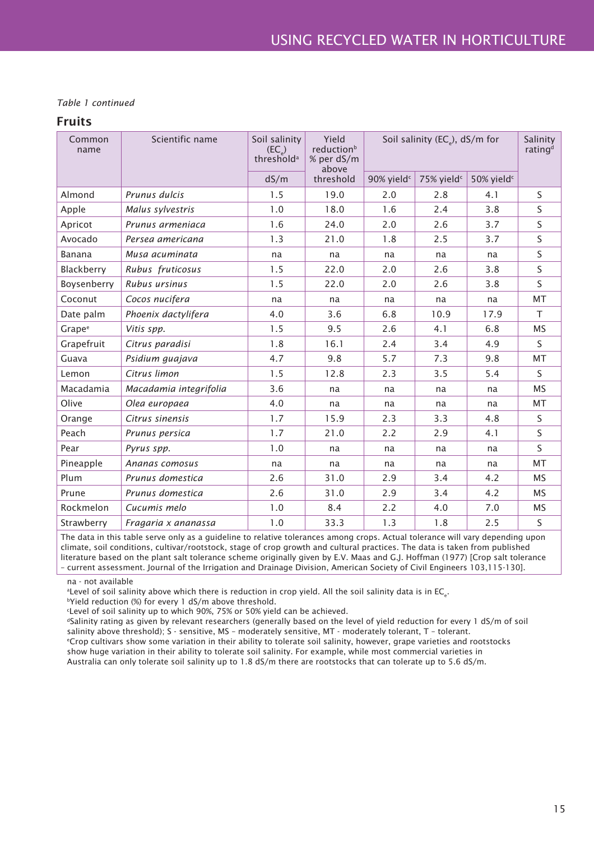#### *Table 1 continued*

#### Fruits

| Common<br>name     | Scientific name        | Soil salinity<br>$(EC_{\circ})$<br>threshold <sup>a</sup> | Yield<br>reduction <sup>b</sup><br>% per dS/m<br>above | Soil salinity (EC <sub>e</sub> ), dS/m for |                        | Salinity<br>rating <sup>d</sup> |           |
|--------------------|------------------------|-----------------------------------------------------------|--------------------------------------------------------|--------------------------------------------|------------------------|---------------------------------|-----------|
|                    |                        | dS/m                                                      | threshold                                              | 90% yield <sup>c</sup>                     | 75% yield <sup>c</sup> | 50% yield <sup>c</sup>          |           |
| Almond             | Prunus dulcis          | 1.5                                                       | 19.0                                                   | 2.0                                        | 2.8                    | 4.1                             | S.        |
| Apple              | Malus sylvestris       | 1.0                                                       | 18.0                                                   | 1.6                                        | 2.4                    | 3.8                             | S         |
| Apricot            | Prunus armeniaca       | 1.6                                                       | 24.0                                                   | 2.0                                        | 2.6                    | 3.7                             | S         |
| Avocado            | Persea americana       | 1.3                                                       | 21.0                                                   | 1.8                                        | 2.5                    | 3.7                             | S         |
| Banana             | Musa acuminata         | na                                                        | na                                                     | na                                         | na                     | na                              | S.        |
| Blackberry         | Rubus fruticosus       | 1.5                                                       | 22.0                                                   | 2.0                                        | 2.6                    | 3.8                             | S.        |
| Boysenberry        | Rubus ursinus          | 1.5                                                       | 22.0                                                   | 2.0                                        | 2.6                    | 3.8                             | S         |
| Coconut            | Cocos nucifera         | na                                                        | na                                                     | na                                         | na                     | na                              | <b>MT</b> |
| Date palm          | Phoenix dactylifera    | 4.0                                                       | 3.6                                                    | 6.8                                        | 10.9                   | 17.9                            | T.        |
| Grape <sup>e</sup> | Vitis spp.             | 1.5                                                       | 9.5                                                    | 2.6                                        | 4.1                    | 6.8                             | <b>MS</b> |
| Grapefruit         | Citrus paradisi        | 1.8                                                       | 16.1                                                   | 2.4                                        | 3.4                    | 4.9                             | S.        |
| Guava              | Psidium guajava        | 4.7                                                       | 9.8                                                    | 5.7                                        | 7.3                    | 9.8                             | <b>MT</b> |
| Lemon              | Citrus limon           | 1.5                                                       | 12.8                                                   | 2.3                                        | 3.5                    | 5.4                             | S.        |
| Macadamia          | Macadamia integrifolia | 3.6                                                       | na                                                     | na                                         | na                     | na                              | <b>MS</b> |
| Olive              | Olea europaea          | 4.0                                                       | na                                                     | na                                         | na                     | na                              | MT        |
| Orange             | Citrus sinensis        | 1.7                                                       | 15.9                                                   | 2.3                                        | 3.3                    | 4.8                             | S.        |
| Peach              | Prunus persica         | 1.7                                                       | 21.0                                                   | 2.2                                        | 2.9                    | 4.1                             | S         |
| Pear               | Pyrus spp.             | 1.0                                                       | na                                                     | na                                         | na                     | na                              | S.        |
| Pineapple          | Ananas comosus         | na                                                        | na                                                     | na                                         | na                     | na                              | MT        |
| Plum               | Prunus domestica       | 2.6                                                       | 31.0                                                   | 2.9                                        | 3.4                    | 4.2                             | <b>MS</b> |
| Prune              | Prunus domestica       | 2.6                                                       | 31.0                                                   | 2.9                                        | 3.4                    | 4.2                             | <b>MS</b> |
| Rockmelon          | Cucumis melo           | 1.0                                                       | 8.4                                                    | 2.2                                        | 4.0                    | 7.0                             | <b>MS</b> |
| Strawberry         | Fragaria x ananassa    | 1.0                                                       | 33.3                                                   | 1.3                                        | 1.8                    | 2.5                             | S         |

The data in this table serve only as a guideline to relative tolerances among crops. Actual tolerance will vary depending upon climate, soil conditions, cultivar/rootstock, stage of crop growth and cultural practices. The data is taken from published literature based on the plant salt tolerance scheme originally given by E.V. Maas and G.J. Hoffman (1977) [Crop salt tolerance – current assessment. Journal of the Irrigation and Drainage Division, American Society of Civil Engineers 103,115-130].

na - not available

 $^{\rm a}$ Level of soil salinity above which there is reduction in crop yield. All the soil salinity data is in EC $_{\rm e}$ .

bYield reduction (%) for every 1 dS/m above threshold.

c Level of soil salinity up to which 90%, 75% or 50% yield can be achieved.

dSalinity rating as given by relevant researchers (generally based on the level of yield reduction for every 1 dS/m of soil salinity above threshold); S - sensitive, MS – moderately sensitive, MT - moderately tolerant, T – tolerant.

e Crop cultivars show some variation in their ability to tolerate soil salinity, however, grape varieties and rootstocks show huge variation in their ability to tolerate soil salinity. For example, while most commercial varieties in

Australia can only tolerate soil salinity up to 1.8 dS/m there are rootstocks that can tolerate up to 5.6 dS/m.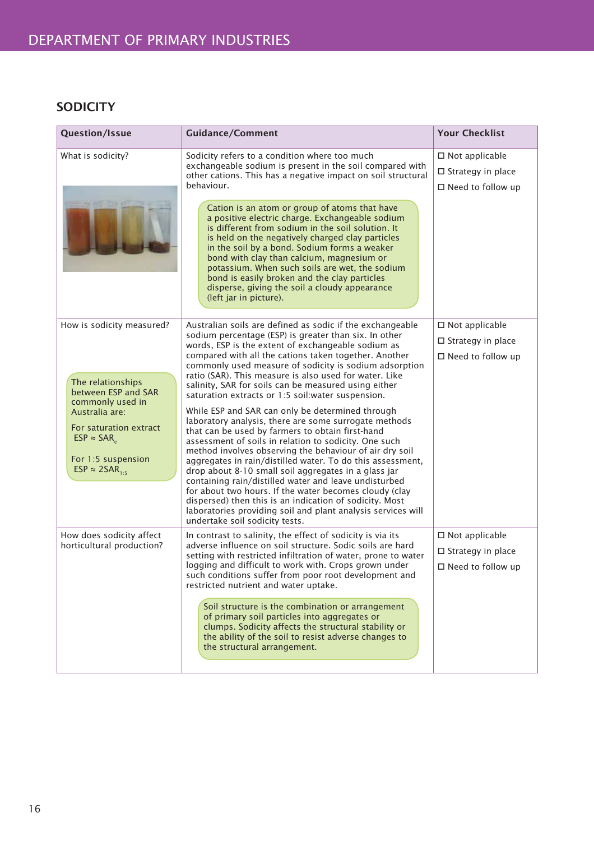## **SODICITY**

| <b>Question/Issue</b>                                         | <b>Guidance/Comment</b>                                                                                                                                                                                                                                                                                                                                                                                                                                                             | <b>Your Checklist</b>                                                            |
|---------------------------------------------------------------|-------------------------------------------------------------------------------------------------------------------------------------------------------------------------------------------------------------------------------------------------------------------------------------------------------------------------------------------------------------------------------------------------------------------------------------------------------------------------------------|----------------------------------------------------------------------------------|
| What is sodicity?                                             | Sodicity refers to a condition where too much<br>exchangeable sodium is present in the soil compared with<br>other cations. This has a negative impact on soil structural<br>behaviour.                                                                                                                                                                                                                                                                                             | $\Box$ Not applicable<br>$\square$ Strategy in place<br>$\Box$ Need to follow up |
|                                                               | Cation is an atom or group of atoms that have<br>a positive electric charge. Exchangeable sodium<br>is different from sodium in the soil solution. It<br>is held on the negatively charged clay particles<br>in the soil by a bond. Sodium forms a weaker<br>bond with clay than calcium, magnesium or<br>potassium. When such soils are wet, the sodium<br>bond is easily broken and the clay particles<br>disperse, giving the soil a cloudy appearance<br>(left jar in picture). |                                                                                  |
| How is sodicity measured?                                     | Australian soils are defined as sodic if the exchangeable<br>sodium percentage (ESP) is greater than six. In other                                                                                                                                                                                                                                                                                                                                                                  | $\square$ Not applicable                                                         |
|                                                               | words, ESP is the extent of exchangeable sodium as<br>compared with all the cations taken together. Another                                                                                                                                                                                                                                                                                                                                                                         | $\Box$ Strategy in place                                                         |
| The relationships                                             | commonly used measure of sodicity is sodium adsorption<br>ratio (SAR). This measure is also used for water. Like<br>salinity, SAR for soils can be measured using either                                                                                                                                                                                                                                                                                                            | $\Box$ Need to follow up                                                         |
| between ESP and SAR<br>commonly used in                       | saturation extracts or 1:5 soil: water suspension.                                                                                                                                                                                                                                                                                                                                                                                                                                  |                                                                                  |
| Australia are:<br>For saturation extract<br>$ESP \approx SAR$ | While ESP and SAR can only be determined through<br>laboratory analysis, there are some surrogate methods<br>that can be used by farmers to obtain first-hand<br>assessment of soils in relation to sodicity. One such                                                                                                                                                                                                                                                              |                                                                                  |
| For 1:5 suspension<br>ESP $\approx$ 2SAR <sub>1-5</sub>       | method involves observing the behaviour of air dry soil<br>aggregates in rain/distilled water. To do this assessment,<br>drop about 8-10 small soil aggregates in a glass jar                                                                                                                                                                                                                                                                                                       |                                                                                  |
|                                                               | containing rain/distilled water and leave undisturbed<br>for about two hours. If the water becomes cloudy (clay<br>dispersed) then this is an indication of sodicity. Most<br>laboratories providing soil and plant analysis services will<br>undertake soil sodicity tests.                                                                                                                                                                                                        |                                                                                  |
| How does sodicity affect<br>horticultural production?         | In contrast to salinity, the effect of sodicity is via its<br>adverse influence on soil structure. Sodic soils are hard                                                                                                                                                                                                                                                                                                                                                             | $\square$ Not applicable                                                         |
|                                                               | setting with restricted infiltration of water, prone to water<br>logging and difficult to work with. Crops grown under<br>such conditions suffer from poor root development and<br>restricted nutrient and water uptake.                                                                                                                                                                                                                                                            | $\Box$ Strategy in place<br>$\square$ Need to follow up                          |
|                                                               | Soil structure is the combination or arrangement<br>of primary soil particles into aggregates or<br>clumps. Sodicity affects the structural stability or<br>the ability of the soil to resist adverse changes to<br>the structural arrangement.                                                                                                                                                                                                                                     |                                                                                  |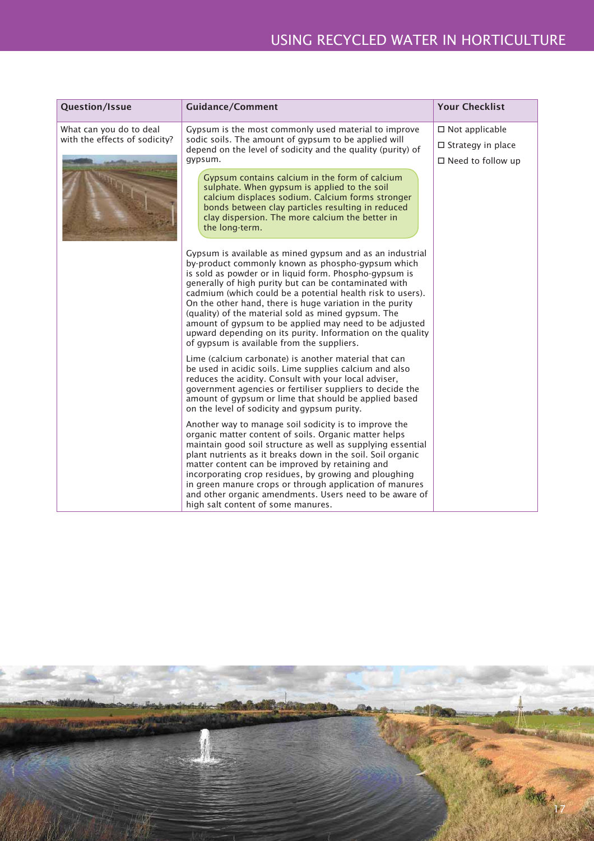| <b>Question/Issue</b>                                                                                                                                                                                                                              | <b>Guidance/Comment</b>                                                                                                                                                                                                                                                                                                                                                                                                                                                                                                                                                                 | <b>Your Checklist</b>                                                         |
|----------------------------------------------------------------------------------------------------------------------------------------------------------------------------------------------------------------------------------------------------|-----------------------------------------------------------------------------------------------------------------------------------------------------------------------------------------------------------------------------------------------------------------------------------------------------------------------------------------------------------------------------------------------------------------------------------------------------------------------------------------------------------------------------------------------------------------------------------------|-------------------------------------------------------------------------------|
| What can you do to deal<br>Gypsum is the most commonly used material to improve<br>with the effects of sodicity?<br>sodic soils. The amount of gypsum to be applied will<br>depend on the level of sodicity and the quality (purity) of<br>gypsum. |                                                                                                                                                                                                                                                                                                                                                                                                                                                                                                                                                                                         | $\Box$ Not applicable<br>$\Box$ Strategy in place<br>$\Box$ Need to follow up |
|                                                                                                                                                                                                                                                    | Gypsum contains calcium in the form of calcium<br>sulphate. When gypsum is applied to the soil<br>calcium displaces sodium. Calcium forms stronger<br>bonds between clay particles resulting in reduced<br>clay dispersion. The more calcium the better in<br>the long-term.                                                                                                                                                                                                                                                                                                            |                                                                               |
|                                                                                                                                                                                                                                                    | Gypsum is available as mined gypsum and as an industrial<br>by-product commonly known as phospho-gypsum which<br>is sold as powder or in liquid form. Phospho-gypsum is<br>generally of high purity but can be contaminated with<br>cadmium (which could be a potential health risk to users).<br>On the other hand, there is huge variation in the purity<br>(quality) of the material sold as mined gypsum. The<br>amount of gypsum to be applied may need to be adjusted<br>upward depending on its purity. Information on the quality<br>of gypsum is available from the suppliers. |                                                                               |
|                                                                                                                                                                                                                                                    | Lime (calcium carbonate) is another material that can<br>be used in acidic soils. Lime supplies calcium and also<br>reduces the acidity. Consult with your local adviser,<br>government agencies or fertiliser suppliers to decide the<br>amount of gypsum or lime that should be applied based<br>on the level of sodicity and gypsum purity.                                                                                                                                                                                                                                          |                                                                               |
|                                                                                                                                                                                                                                                    | Another way to manage soil sodicity is to improve the<br>organic matter content of soils. Organic matter helps<br>maintain good soil structure as well as supplying essential<br>plant nutrients as it breaks down in the soil. Soil organic<br>matter content can be improved by retaining and<br>incorporating crop residues, by growing and ploughing<br>in green manure crops or through application of manures<br>and other organic amendments. Users need to be aware of<br>high salt content of some manures.                                                                    |                                                                               |

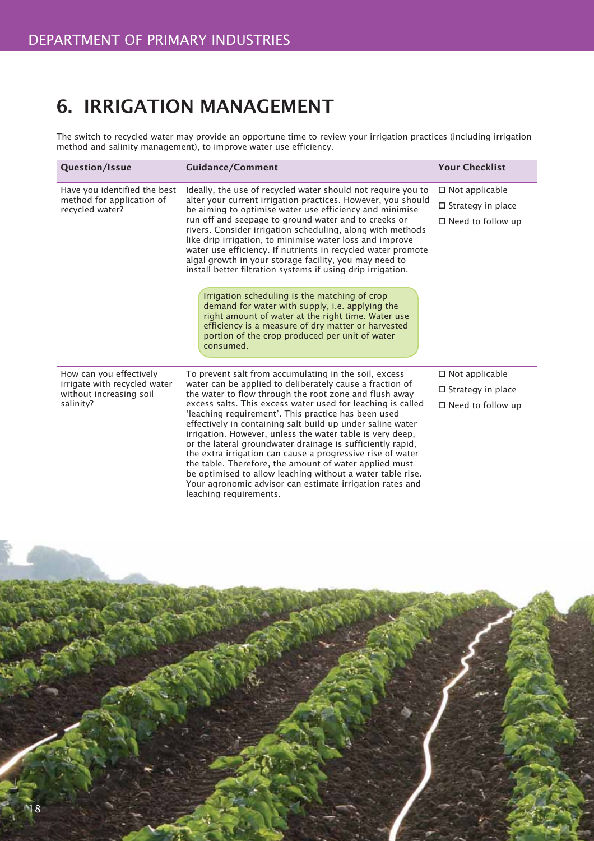# 6. IRRIGATION MANAGEMENT

The switch to recycled water may provide an opportune time to review your irrigation practices (including irrigation method and salinity management), to improve water use efficiency.

| <b>Question/Issue</b>                                                                           | <b>Guidance/Comment</b>                                                                                                                                                                                                                                                                                                                                                                                                                                                                                                                                                                                                                                                                                                                                                                                                                           | <b>Your Checklist</b>                                                         |
|-------------------------------------------------------------------------------------------------|---------------------------------------------------------------------------------------------------------------------------------------------------------------------------------------------------------------------------------------------------------------------------------------------------------------------------------------------------------------------------------------------------------------------------------------------------------------------------------------------------------------------------------------------------------------------------------------------------------------------------------------------------------------------------------------------------------------------------------------------------------------------------------------------------------------------------------------------------|-------------------------------------------------------------------------------|
| Have you identified the best<br>method for application of<br>recycled water?                    | Ideally, the use of recycled water should not require you to<br>alter your current irrigation practices. However, you should<br>be aiming to optimise water use efficiency and minimise<br>run-off and seepage to ground water and to creeks or<br>rivers. Consider irrigation scheduling, along with methods<br>like drip irrigation, to minimise water loss and improve<br>water use efficiency. If nutrients in recycled water promote<br>algal growth in your storage facility, you may need to<br>install better filtration systems if using drip irrigation.<br>Irrigation scheduling is the matching of crop<br>demand for water with supply, i.e. applying the<br>right amount of water at the right time. Water use<br>efficiency is a measure of dry matter or harvested<br>portion of the crop produced per unit of water<br>consumed. | $\Box$ Not applicable<br>$\Box$ Strategy in place<br>$\Box$ Need to follow up |
| How can you effectively<br>irrigate with recycled water<br>without increasing soil<br>salinity? | To prevent salt from accumulating in the soil, excess<br>water can be applied to deliberately cause a fraction of<br>the water to flow through the root zone and flush away<br>excess salts. This excess water used for leaching is called<br>'leaching requirement'. This practice has been used<br>effectively in containing salt build-up under saline water<br>irrigation. However, unless the water table is very deep,<br>or the lateral groundwater drainage is sufficiently rapid,<br>the extra irrigation can cause a progressive rise of water<br>the table. Therefore, the amount of water applied must<br>be optimised to allow leaching without a water table rise.<br>Your agronomic advisor can estimate irrigation rates and<br>leaching requirements.                                                                            | $\Box$ Not applicable<br>$\Box$ Strategy in place<br>$\Box$ Need to follow up |

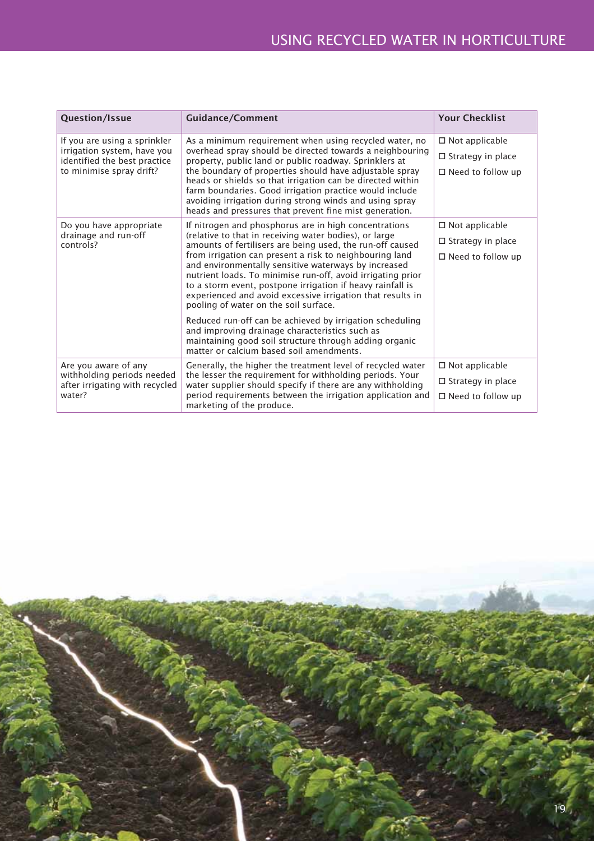| Question/Issue                                                                                                                                                                    | <b>Guidance/Comment</b>                                                                                                                                                                                                                                                                                                                             | <b>Your Checklist</b>    |
|-----------------------------------------------------------------------------------------------------------------------------------------------------------------------------------|-----------------------------------------------------------------------------------------------------------------------------------------------------------------------------------------------------------------------------------------------------------------------------------------------------------------------------------------------------|--------------------------|
| If you are using a sprinkler<br>As a minimum requirement when using recycled water, no<br>overhead spray should be directed towards a neighbouring<br>irrigation system, have you |                                                                                                                                                                                                                                                                                                                                                     | $\Box$ Not applicable    |
| identified the best practice                                                                                                                                                      | property, public land or public roadway. Sprinklers at                                                                                                                                                                                                                                                                                              | $\Box$ Strategy in place |
| to minimise spray drift?                                                                                                                                                          | the boundary of properties should have adjustable spray<br>heads or shields so that irrigation can be directed within<br>farm boundaries. Good irrigation practice would include<br>avoiding irrigation during strong winds and using spray<br>heads and pressures that prevent fine mist generation.                                               |                          |
| Do you have appropriate                                                                                                                                                           | If nitrogen and phosphorus are in high concentrations<br>$\Box$ Not applicable                                                                                                                                                                                                                                                                      |                          |
| drainage and run-off<br>controls?                                                                                                                                                 | (relative to that in receiving water bodies), or large<br>amounts of fertilisers are being used, the run-off caused                                                                                                                                                                                                                                 | $\Box$ Strategy in place |
|                                                                                                                                                                                   | from irrigation can present a risk to neighbouring land<br>and environmentally sensitive waterways by increased<br>nutrient loads. To minimise run-off, avoid irrigating prior<br>to a storm event, postpone irrigation if heavy rainfall is<br>experienced and avoid excessive irrigation that results in<br>pooling of water on the soil surface. |                          |
|                                                                                                                                                                                   | Reduced run-off can be achieved by irrigation scheduling<br>and improving drainage characteristics such as<br>maintaining good soil structure through adding organic<br>matter or calcium based soil amendments.                                                                                                                                    |                          |
| Are you aware of any                                                                                                                                                              | Generally, the higher the treatment level of recycled water                                                                                                                                                                                                                                                                                         | $\Box$ Not applicable    |
| withholding periods needed<br>after irrigating with recycled                                                                                                                      | the lesser the requirement for withholding periods. Your<br>water supplier should specify if there are any withholding                                                                                                                                                                                                                              | $\Box$ Strategy in place |
| water?                                                                                                                                                                            | period requirements between the irrigation application and<br>marketing of the produce.                                                                                                                                                                                                                                                             | $\Box$ Need to follow up |

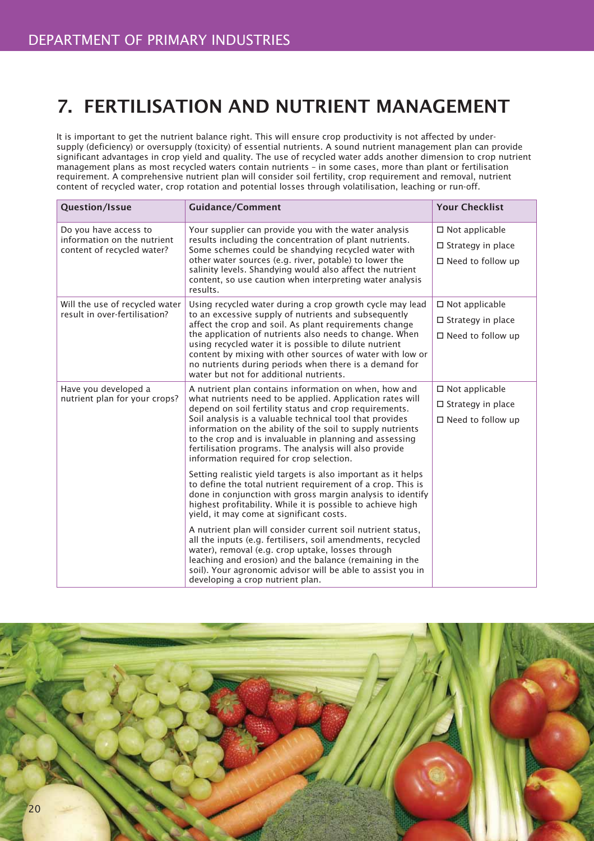# 7. FERTILISATION AND NUTRIENT MANAGEMENT

It is important to get the nutrient balance right. This will ensure crop productivity is not affected by undersupply (deficiency) or oversupply (toxicity) of essential nutrients. A sound nutrient management plan can provide significant advantages in crop yield and quality. The use of recycled water adds another dimension to crop nutrient management plans as most recycled waters contain nutrients – in some cases, more than plant or fertilisation requirement. A comprehensive nutrient plan will consider soil fertility, crop requirement and removal, nutrient content of recycled water, crop rotation and potential losses through volatilisation, leaching or run-off.

| <b>Question/Issue</b>                                                              | <b>Guidance/Comment</b>                                                                                                                                                                                                                                                                                                                                                                                                                                                                                                                                                                                                                                                                                                                                                                                                                                                                                                                                                                                                                                                                                                           | <b>Your Checklist</b>                                                            |
|------------------------------------------------------------------------------------|-----------------------------------------------------------------------------------------------------------------------------------------------------------------------------------------------------------------------------------------------------------------------------------------------------------------------------------------------------------------------------------------------------------------------------------------------------------------------------------------------------------------------------------------------------------------------------------------------------------------------------------------------------------------------------------------------------------------------------------------------------------------------------------------------------------------------------------------------------------------------------------------------------------------------------------------------------------------------------------------------------------------------------------------------------------------------------------------------------------------------------------|----------------------------------------------------------------------------------|
| Do you have access to<br>information on the nutrient<br>content of recycled water? | Your supplier can provide you with the water analysis<br>results including the concentration of plant nutrients.<br>Some schemes could be shandying recycled water with<br>other water sources (e.g. river, potable) to lower the<br>salinity levels. Shandying would also affect the nutrient<br>content, so use caution when interpreting water analysis<br>results.                                                                                                                                                                                                                                                                                                                                                                                                                                                                                                                                                                                                                                                                                                                                                            | $\square$ Not applicable<br>$\Box$ Strategy in place<br>$\Box$ Need to follow up |
| Will the use of recycled water<br>result in over-fertilisation?                    | Using recycled water during a crop growth cycle may lead<br>to an excessive supply of nutrients and subsequently<br>affect the crop and soil. As plant requirements change<br>the application of nutrients also needs to change. When<br>using recycled water it is possible to dilute nutrient<br>content by mixing with other sources of water with low or<br>no nutrients during periods when there is a demand for<br>water but not for additional nutrients.                                                                                                                                                                                                                                                                                                                                                                                                                                                                                                                                                                                                                                                                 | $\Box$ Not applicable<br>$\Box$ Strategy in place<br>$\Box$ Need to follow up    |
| Have you developed a<br>nutrient plan for your crops?                              | A nutrient plan contains information on when, how and<br>what nutrients need to be applied. Application rates will<br>depend on soil fertility status and crop requirements.<br>Soil analysis is a valuable technical tool that provides<br>information on the ability of the soil to supply nutrients<br>to the crop and is invaluable in planning and assessing<br>fertilisation programs. The analysis will also provide<br>information required for crop selection.<br>Setting realistic yield targets is also important as it helps<br>to define the total nutrient requirement of a crop. This is<br>done in conjunction with gross margin analysis to identify<br>highest profitability. While it is possible to achieve high<br>yield, it may come at significant costs.<br>A nutrient plan will consider current soil nutrient status,<br>all the inputs (e.g. fertilisers, soil amendments, recycled<br>water), removal (e.g. crop uptake, losses through<br>leaching and erosion) and the balance (remaining in the<br>soil). Your agronomic advisor will be able to assist you in<br>developing a crop nutrient plan. | $\Box$ Not applicable<br>$\square$ Strategy in place<br>$\Box$ Need to follow up |

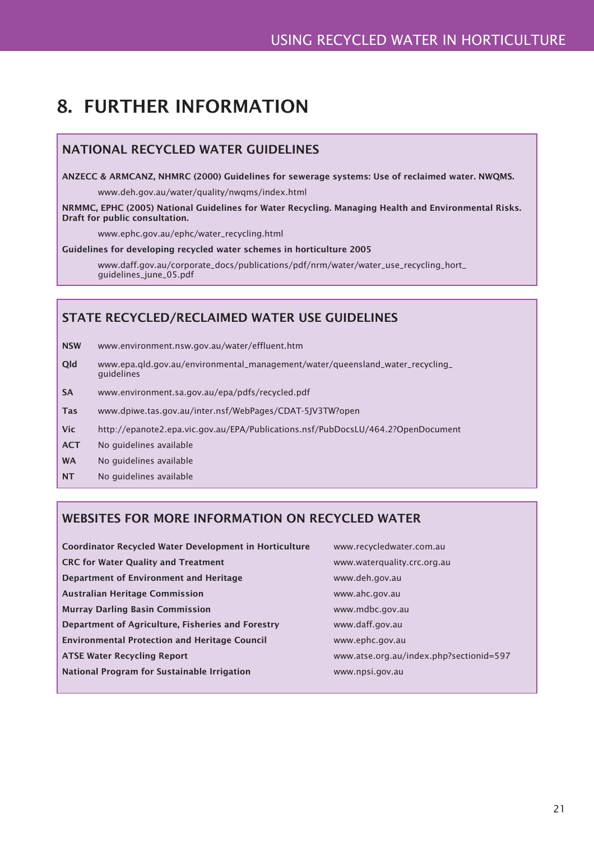# 8. FURTHER INFORMATION

## NATIONAL RECYCLED WATER GUIDELINES

ANZECC & ARMCANZ, NHMRC (2000) Guidelines for sewerage systems: Use of reclaimed water. NWQMS.

www.deh.gov.au/water/quality/nwqms/index.html

NRMMC, EPHC (2005) National Guidelines for Water Recycling. Managing Health and Environmental Risks. Draft for public consultation.

www.ephc.gov.au/ephc/water\_recycling.html

#### Guidelines for developing recycled water schemes in horticulture 2005

 www.daff.gov.au/corporate\_docs/publications/pdf/nrm/water/water\_use\_recycling\_hort\_ guidelines\_june\_05.pdf

### STATE RECYCLED/RECLAIMED WATER USE GUIDELINES

- NSW www.environment.nsw.gov.au/water/effluent.htm
- Qld www.epa.qld.gov.au/environmental\_management/water/queensland\_water\_recycling\_ guidelines
- SA www.environment.sa.gov.au/epa/pdfs/recycled.pdf
- Tas www.dpiwe.tas.gov.au/inter.nsf/WebPages/CDAT-5JV3TW?open
- Vic http://epanote2.epa.vic.gov.au/EPA/Publications.nsf/PubDocsLU/464.2?OpenDocument
- ACT No guidelines available
- WA No guidelines available
- NT No guidelines available

### WEBSITES FOR MORE INFORMATION ON RECYCLED WATER

| Coordinator Recycled Water Development in Horticulture | www.recycledwater.com.au                |
|--------------------------------------------------------|-----------------------------------------|
| <b>CRC for Water Quality and Treatment</b>             | www.waterquality.crc.org.au             |
| Department of Environment and Heritage                 | www.deh.gov.au                          |
| <b>Australian Heritage Commission</b>                  | www.ahc.gov.au                          |
| <b>Murray Darling Basin Commission</b>                 | www.mdbc.gov.au                         |
| Department of Agriculture, Fisheries and Forestry      | www.daff.gov.au                         |
| <b>Environmental Protection and Heritage Council</b>   | www.ephc.gov.au                         |
| <b>ATSE Water Recycling Report</b>                     | www.atse.org.au/index.php?sectionid=597 |
| National Program for Sustainable Irrigation            | www.npsi.gov.au                         |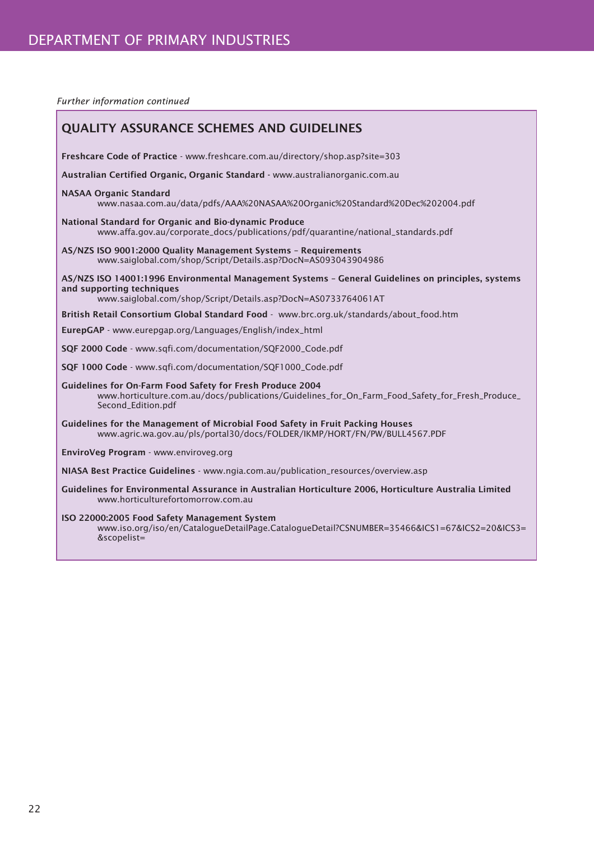*Further information continued*

| <b>QUALITY ASSURANCE SCHEMES AND GUIDELINES</b>                                                                                                                                                  |
|--------------------------------------------------------------------------------------------------------------------------------------------------------------------------------------------------|
| Freshcare Code of Practice - www.freshcare.com.au/directory/shop.asp?site=303                                                                                                                    |
| Australian Certified Organic, Organic Standard - www.australianorganic.com.au                                                                                                                    |
| <b>NASAA Organic Standard</b><br>www.nasaa.com.au/data/pdfs/AAA%20NASAA%20Organic%20Standard%20Dec%202004.pdf                                                                                    |
| National Standard for Organic and Bio-dynamic Produce<br>www.affa.gov.au/corporate_docs/publications/pdf/quarantine/national_standards.pdf                                                       |
| AS/NZS ISO 9001:2000 Quality Management Systems - Requirements<br>www.saiglobal.com/shop/Script/Details.asp?DocN=AS093043904986                                                                  |
| AS/NZS ISO 14001:1996 Environmental Management Systems - General Guidelines on principles, systems<br>and supporting techniques<br>www.saiglobal.com/shop/Script/Details.asp?DocN=AS0733764061AT |
| British Retail Consortium Global Standard Food - www.brc.org.uk/standards/about_food.htm                                                                                                         |
| EurepGAP - www.eurepgap.org/Languages/English/index_html                                                                                                                                         |
| SQF 2000 Code - www.sqfi.com/documentation/SQF2000_Code.pdf                                                                                                                                      |
| SQF 1000 Code - www.sqfi.com/documentation/SQF1000_Code.pdf                                                                                                                                      |
| Guidelines for On-Farm Food Safety for Fresh Produce 2004<br>www.horticulture.com.au/docs/publications/Guidelines_for_On_Farm_Food_Safety_for_Fresh_Produce_<br>Second_Edition.pdf               |
| Guidelines for the Management of Microbial Food Safety in Fruit Packing Houses<br>www.agric.wa.gov.au/pls/portal30/docs/FOLDER/IKMP/HORT/FN/PW/BULL4567.PDF                                      |
| EnviroVeg Program - www.enviroveg.org                                                                                                                                                            |
| NIASA Best Practice Guidelines - www.ngia.com.au/publication_resources/overview.asp                                                                                                              |
| Guidelines for Environmental Assurance in Australian Horticulture 2006, Horticulture Australia Limited<br>www.horticulturefortomorrow.com.au                                                     |
| ISO 22000:2005 Food Safety Management System<br>www.iso.org/iso/en/CatalogueDetailPage.CatalogueDetail?CSNUMBER=35466&ICS1=67&ICS2=20&ICS3=<br>&scopelist=                                       |
|                                                                                                                                                                                                  |